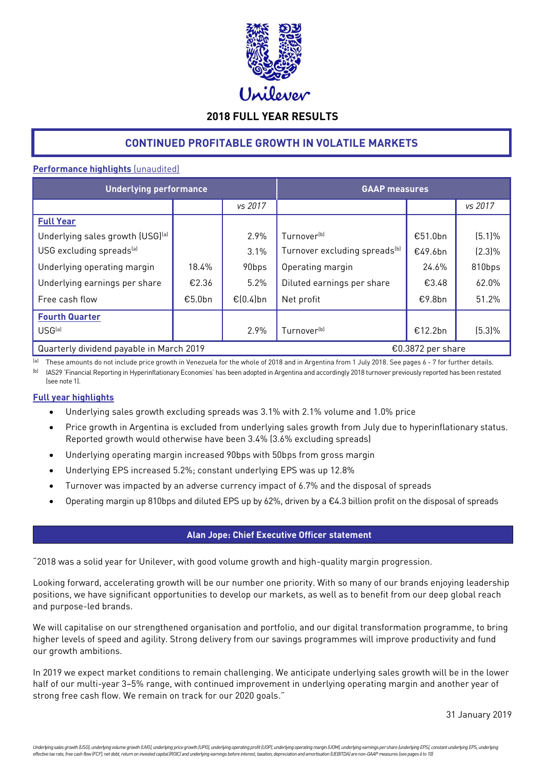

# **2018 FULL YEAR RESULTS**

# **CONTINUED PROFITABLE GROWTH IN VOLATILE MARKETS**

# **Performance highlights** (unaudited)

| <b>Underlying performance</b>                                 |        |              | <b>GAAP</b> measures                      |         |           |  |
|---------------------------------------------------------------|--------|--------------|-------------------------------------------|---------|-----------|--|
|                                                               |        | vs 2017      |                                           |         | vs 2017   |  |
| <b>Full Year</b>                                              |        |              |                                           |         |           |  |
| Underlying sales growth (USG)[a]                              |        | 2.9%         | Turnover <sup>(b)</sup>                   | €51.0bn | (5.1%     |  |
| USG excluding spreads <sup>[a]</sup>                          |        | 3.1%         | Turnover excluding spreads <sup>(b)</sup> | €49.6bn | $(2.3)\%$ |  |
| Underlying operating margin                                   | 18.4%  | 90bps        | Operating margin                          | 24.6%   | 810bps    |  |
| Underlying earnings per share                                 | €2.36  | 5.2%         | Diluted earnings per share                | €3.48   | 62.0%     |  |
| Free cash flow                                                | €5.0bn | € $(0.4)$ bn | Net profit                                | €9.8bn  | 51.2%     |  |
| <b>Fourth Quarter</b>                                         |        |              |                                           |         |           |  |
| USG <sup>(a)</sup>                                            |        | 2.9%         | Turnover <sup>(b)</sup>                   | €12.2bn | $(5.3)\%$ |  |
| Quarterly dividend payable in March 2019<br>€0.3872 per share |        |              |                                           |         |           |  |

(a) These amounts do not include price growth in Venezuela for the whole of 2018 and in Argentina from 1 July 2018. See pages 6 - 7 for further details.

<sup>(b)</sup> IAS29 'Financial Reporting in Hyperinflationary Economies' has been adopted in Argentina and accordingly 2018 turnover previously reported has been restated (see note 1).

# **Full year highlights**

- Underlying sales growth excluding spreads was 3.1% with 2.1% volume and 1.0% price
- Price growth in Argentina is excluded from underlying sales growth from July due to hyperinflationary status. Reported growth would otherwise have been 3.4% (3.6% excluding spreads)
- Underlying operating margin increased 90bps with 50bps from gross margin
- Underlying EPS increased 5.2%; constant underlying EPS was up 12.8%
- Turnover was impacted by an adverse currency impact of 6.7% and the disposal of spreads
- Operating margin up 810bps and diluted EPS up by 62%, driven by a €4.3 billion profit on the disposal of spreads

# **Alan Jope: Chief Executive Officer statement**

"2018 was a solid year for Unilever, with good volume growth and high-quality margin progression.

Looking forward, accelerating growth will be our number one priority. With so many of our brands enjoying leadership positions, we have significant opportunities to develop our markets, as well as to benefit from our deep global reach and purpose-led brands.

We will capitalise on our strengthened organisation and portfolio, and our digital transformation programme, to bring higher levels of speed and agility. Strong delivery from our savings programmes will improve productivity and fund our growth ambitions.

In 2019 we expect market conditions to remain challenging. We anticipate underlying sales growth will be in the lower half of our multi-year 3–5% range, with continued improvement in underlying operating margin and another year of strong free cash flow. We remain on track for our 2020 goals."

31 January 2019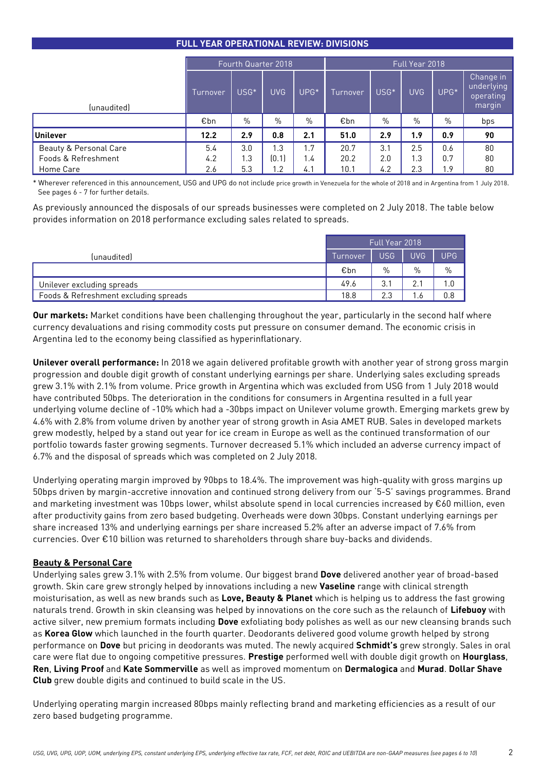| <b>FULL YEAR OPERATIONAL REVIEW: DIVISIONS</b> |  |
|------------------------------------------------|--|
|                                                |  |

|                                                                       | Fourth Quarter 2018 |                   |                                |                   |                      |                   | Full Year 2018    |                   |                                                |
|-----------------------------------------------------------------------|---------------------|-------------------|--------------------------------|-------------------|----------------------|-------------------|-------------------|-------------------|------------------------------------------------|
| (unaudited)                                                           | Turnover            | USG*              | <b>UVG</b>                     | UPG <sup>*</sup>  | Turnover             | USG <sup>*</sup>  | <b>UVG</b>        | UPG*              | Change in<br>underlying<br>operating<br>margin |
|                                                                       | €bn                 | $\%$              | $\%$                           | $\%$              | €bn                  | $\%$              | $\%$              | $\%$              | bps                                            |
| <b>Unilever</b>                                                       | 12.2                | 2.9               | 0.8                            | 2.1               | 51.0                 | 2.9               | 1.9               | 0.9               | 90                                             |
| <b>Beauty &amp; Personal Care</b><br>Foods & Refreshment<br>Home Care | 5.4<br>4.2<br>2.6   | 3.0<br>1.3<br>5.3 | 1.3<br>[0.1]<br>$\overline{2}$ | 1.7<br>1.4<br>4.1 | 20.7<br>20.2<br>10.1 | 3.1<br>2.0<br>4.2 | 2.5<br>1.3<br>2.3 | 0.6<br>0.7<br>1.9 | 80<br>80<br>80                                 |

\* Wherever referenced in this announcement, USG and UPG do not include price growth in Venezuela for the whole of 2018 and in Argentina from 1 July 2018. See pages 6 - 7 for further details.

As previously announced the disposals of our spreads businesses were completed on 2 July 2018. The table below provides information on 2018 performance excluding sales related to spreads.

|                                       | Full Year 2018 |     |            |            |  |
|---------------------------------------|----------------|-----|------------|------------|--|
| (unaudited)                           | Turnover       | USG | <b>UVG</b> | <b>UPG</b> |  |
|                                       | €bn            | %   | $\%$       | $\%$       |  |
| Unilever excluding spreads            | 49.6           | 3.1 | ◠          | 1.0        |  |
| Foods & Refreshment excluding spreads | 18.8           | 2.3 |            | 0.8        |  |

**Our markets:** Market conditions have been challenging throughout the year, particularly in the second half where currency devaluations and rising commodity costs put pressure on consumer demand. The economic crisis in Argentina led to the economy being classified as hyperinflationary.

**Unilever overall performance:** In 2018 we again delivered profitable growth with another year of strong gross margin progression and double digit growth of constant underlying earnings per share. Underlying sales excluding spreads grew 3.1% with 2.1% from volume. Price growth in Argentina which was excluded from USG from 1 July 2018 would have contributed 50bps. The deterioration in the conditions for consumers in Argentina resulted in a full year underlying volume decline of -10% which had a -30bps impact on Unilever volume growth. Emerging markets grew by 4.6% with 2.8% from volume driven by another year of strong growth in Asia AMET RUB. Sales in developed markets grew modestly, helped by a stand out year for ice cream in Europe as well as the continued transformation of our portfolio towards faster growing segments. Turnover decreased 5.1% which included an adverse currency impact of 6.7% and the disposal of spreads which was completed on 2 July 2018.

Underlying operating margin improved by 90bps to 18.4%. The improvement was high-quality with gross margins up 50bps driven by margin-accretive innovation and continued strong delivery from our '5-S' savings programmes. Brand and marketing investment was 10bps lower, whilst absolute spend in local currencies increased by €60 million, even after productivity gains from zero based budgeting. Overheads were down 30bps. Constant underlying earnings per share increased 13% and underlying earnings per share increased 5.2% after an adverse impact of 7.6% from currencies. Over €10 billion was returned to shareholders through share buy-backs and dividends.

# **Beauty & Personal Care**

Underlying sales grew 3.1% with 2.5% from volume. Our biggest brand **Dove** delivered another year of broad-based growth. Skin care grew strongly helped by innovations including a new **Vaseline** range with clinical strength moisturisation, as well as new brands such as **Love, Beauty & Planet** which is helping us to address the fast growing naturals trend. Growth in skin cleansing was helped by innovations on the core such as the relaunch of **Lifebuoy** with active silver, new premium formats including **Dove** exfoliating body polishes as well as our new cleansing brands such as **Korea Glow** which launched in the fourth quarter. Deodorants delivered good volume growth helped by strong performance on **Dove** but pricing in deodorants was muted. The newly acquired **Schmidt's** grew strongly. Sales in oral care were flat due to ongoing competitive pressures. **Prestige** performed well with double digit growth on **Hourglass**, **Ren**, **Living Proof** and **Kate Sommerville** as well as improved momentum on **Dermalogica** and **Murad**. **Dollar Shave Club** grew double digits and continued to build scale in the US.

Underlying operating margin increased 80bps mainly reflecting brand and marketing efficiencies as a result of our zero based budgeting programme.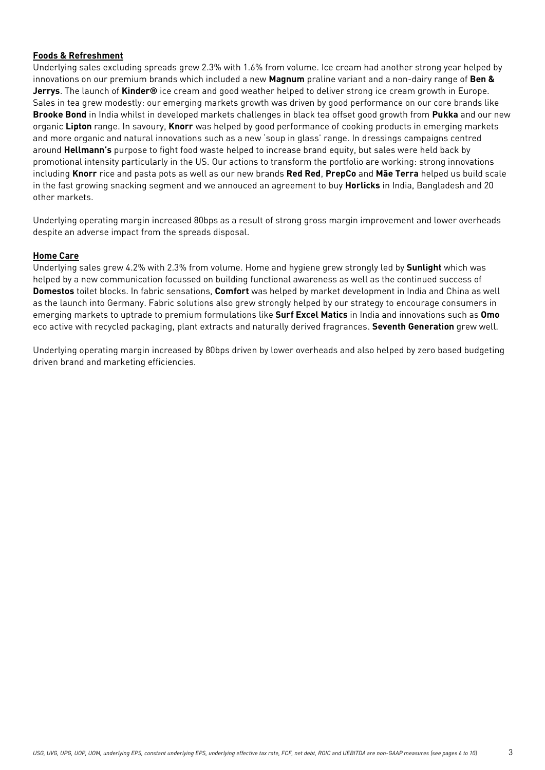# **Foods & Refreshment**

Underlying sales excluding spreads grew 2.3% with 1.6% from volume. Ice cream had another strong year helped by innovations on our premium brands which included a new **Magnum** praline variant and a non-dairy range of **Ben & Jerrys**. The launch of **Kinder®** ice cream and good weather helped to deliver strong ice cream growth in Europe. Sales in tea grew modestly: our emerging markets growth was driven by good performance on our core brands like **Brooke Bond** in India whilst in developed markets challenges in black tea offset good growth from **Pukka** and our new organic **Lipton** range. In savoury, **Knorr** was helped by good performance of cooking products in emerging markets and more organic and natural innovations such as a new 'soup in glass' range. In dressings campaigns centred around **Hellmann's** purpose to fight food waste helped to increase brand equity, but sales were held back by promotional intensity particularly in the US. Our actions to transform the portfolio are working: strong innovations including **Knorr** rice and pasta pots as well as our new brands **Red Red**, **PrepCo** and **Mãe Terra** helped us build scale in the fast growing snacking segment and we annouced an agreement to buy **Horlicks** in India, Bangladesh and 20 other markets.

Underlying operating margin increased 80bps as a result of strong gross margin improvement and lower overheads despite an adverse impact from the spreads disposal.

#### **Home Care**

Underlying sales grew 4.2% with 2.3% from volume. Home and hygiene grew strongly led by **Sunlight** which was helped by a new communication focussed on building functional awareness as well as the continued success of **Domestos** toilet blocks. In fabric sensations, **Comfort** was helped by market development in India and China as well as the launch into Germany. Fabric solutions also grew strongly helped by our strategy to encourage consumers in emerging markets to uptrade to premium formulations like **Surf Excel Matics** in India and innovations such as **Omo** eco active with recycled packaging, plant extracts and naturally derived fragrances. **Seventh Generation** grew well.

Underlying operating margin increased by 80bps driven by lower overheads and also helped by zero based budgeting driven brand and marketing efficiencies.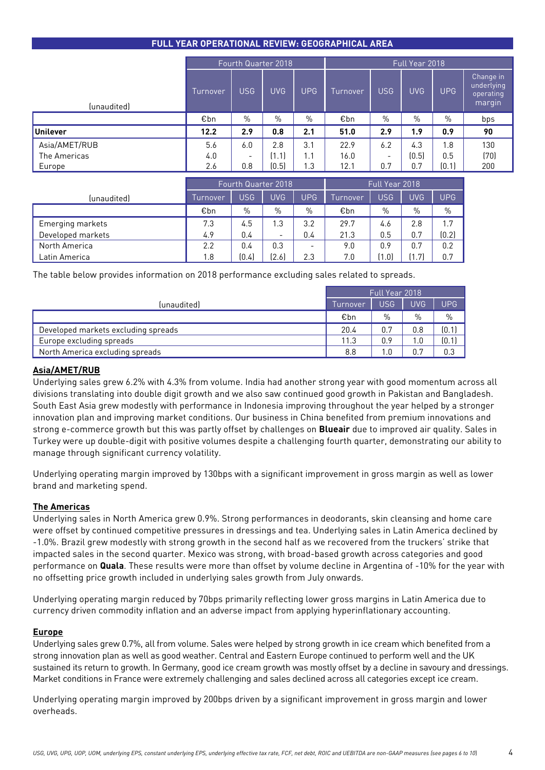# **FULL YEAR OPERATIONAL REVIEW: GEOGRAPHICAL AREA**

|               | Fourth Quarter 2018 |                          |            | Full Year 2018 |          |                          |            |            |                                                |
|---------------|---------------------|--------------------------|------------|----------------|----------|--------------------------|------------|------------|------------------------------------------------|
| (unaudited)   | Turnover            | <b>USG</b>               | <b>UVG</b> | <b>UPG</b>     | Turnover | <b>USG</b>               | <b>UVG</b> | <b>UPG</b> | Change in<br>underlying<br>operating<br>margin |
|               | €bn                 | $\frac{0}{0}$            | %          | $\%$           | €bn      | $\%$                     | $\%$       | $\%$       | bps                                            |
| Unilever      | 12.2                | 2.9                      | 0.8        | 2.1            | 51.0     | 2.9                      | 1.9        | 0.9        | 90                                             |
| Asia/AMET/RUB | 5.6                 | 6.0                      | 2.8        | 3.1            | 22.9     | 6.2                      | 4.3        | 1.8        | 130                                            |
| The Americas  | 4.0                 | $\overline{\phantom{0}}$ | (1.1)      | 1.1            | 16.0     | $\overline{\phantom{a}}$ | (0.5)      | 0.5        | (70)                                           |
| Europe        | 2.6                 | 0.8                      | (0.5)      | 1.3            | 12.1     | 0.7                      | 0.7        | (0.1)      | 200                                            |

|                   | Fourth Quarter 2018 |            |                          |                          | Full Year 2018 |       |       |            |
|-------------------|---------------------|------------|--------------------------|--------------------------|----------------|-------|-------|------------|
| (unaudited)       | Turnover            | <b>USG</b> | <b>UVG</b>               | <b>UPG</b>               | Turnover       | USG   | UVG.  | <b>UPG</b> |
|                   | €bn                 | %          | $\%$                     | $\%$                     | €bn            | $\%$  | %     | $\%$       |
| Emerging markets  | 7.3                 | 4.5        | 1.3                      | 3.2                      | 29.7           | 4.6   | 2.8   | 1.7        |
| Developed markets | 4.9                 | 0.4        | $\overline{\phantom{0}}$ | 0.4                      | 21.3           | 0.5   | 0.7   | (0.2)      |
| North America     | 2.2                 | 0.4        | 0.3                      | $\overline{\phantom{0}}$ | 9.0            | 0.9   | 0.7   | 0.2        |
| Latin America     | 1.8                 | (0.4)      | (2.6)                    | 2.3                      | 7.0            | (1.0) | ้1 71 | 0.7        |

The table below provides information on 2018 performance excluding sales related to spreads.

|                                     | Full Year 2018 |     |            |            |  |
|-------------------------------------|----------------|-----|------------|------------|--|
| (unaudited)                         | Turnover       | USG | <b>UVG</b> | <b>UPG</b> |  |
|                                     | €bn            | %   | %          | $\%$       |  |
| Developed markets excluding spreads | 20.4           | 0.7 | 0.8        | (0.1)      |  |
| Europe excluding spreads            | 11.3           | 0.9 |            | [0.1]      |  |
| North America excluding spreads     | 8.8            |     | 0.7        | 0.3        |  |

# **Asia/AMET/RUB**

Underlying sales grew 6.2% with 4.3% from volume. India had another strong year with good momentum across all divisions translating into double digit growth and we also saw continued good growth in Pakistan and Bangladesh. South East Asia grew modestly with performance in Indonesia improving throughout the year helped by a stronger innovation plan and improving market conditions. Our business in China benefited from premium innovations and strong e-commerce growth but this was partly offset by challenges on **Blueair** due to improved air quality. Sales in Turkey were up double-digit with positive volumes despite a challenging fourth quarter, demonstrating our ability to manage through significant currency volatility.

Underlying operating margin improved by 130bps with a significant improvement in gross margin as well as lower brand and marketing spend.

# **The Americas**

Underlying sales in North America grew 0.9%. Strong performances in deodorants, skin cleansing and home care were offset by continued competitive pressures in dressings and tea. Underlying sales in Latin America declined by -1.0%. Brazil grew modestly with strong growth in the second half as we recovered from the truckers' strike that impacted sales in the second quarter. Mexico was strong, with broad-based growth across categories and good performance on **Quala**. These results were more than offset by volume decline in Argentina of -10% for the year with no offsetting price growth included in underlying sales growth from July onwards.

Underlying operating margin reduced by 70bps primarily reflecting lower gross margins in Latin America due to currency driven commodity inflation and an adverse impact from applying hyperinflationary accounting.

#### **Europe**

Underlying sales grew 0.7%, all from volume. Sales were helped by strong growth in ice cream which benefited from a strong innovation plan as well as good weather. Central and Eastern Europe continued to perform well and the UK sustained its return to growth. In Germany, good ice cream growth was mostly offset by a decline in savoury and dressings. Market conditions in France were extremely challenging and sales declined across all categories except ice cream.

Underlying operating margin improved by 200bps driven by a significant improvement in gross margin and lower overheads.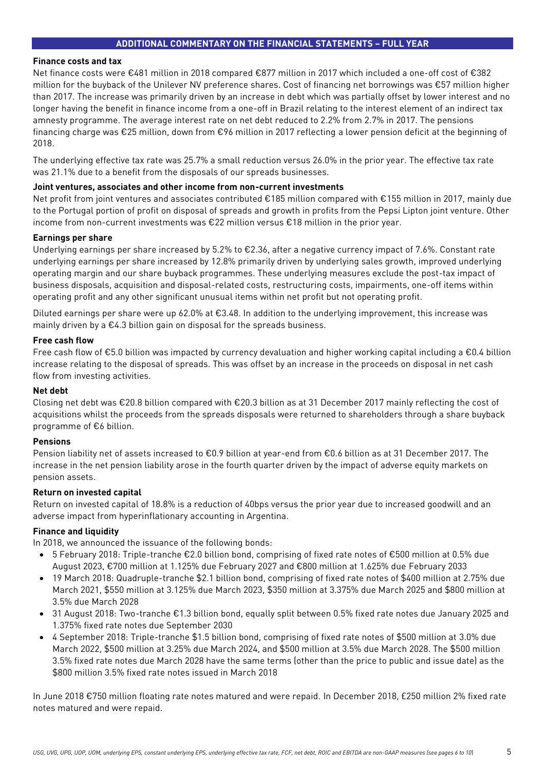# **ADDITIONAL COMMENTARY ON THE FINANCIAL STATEMENTS – FULL YEAR**

#### **Finance costs and tax**

Net finance costs were €481 million in 2018 compared €877 million in 2017 which included a one-off cost of €382 million for the buyback of the Unilever NV preference shares. Cost of financing net borrowings was €57 million higher than 2017. The increase was primarily driven by an increase in debt which was partially offset by lower interest and no longer having the benefit in finance income from a one-off in Brazil relating to the interest element of an indirect tax amnesty programme. The average interest rate on net debt reduced to 2.2% from 2.7% in 2017. The pensions financing charge was €25 million, down from €96 million in 2017 reflecting a lower pension deficit at the beginning of 2018.

The underlying effective tax rate was 25.7% a small reduction versus 26.0% in the prior year. The effective tax rate was 21.1% due to a benefit from the disposals of our spreads businesses.

#### **Joint ventures, associates and other income from non-current investments**

Net profit from joint ventures and associates contributed €185 million compared with €155 million in 2017, mainly due to the Portugal portion of profit on disposal of spreads and growth in profits from the Pepsi Lipton joint venture. Other income from non-current investments was €22 million versus €18 million in the prior year.

#### **Earnings per share**

Underlying earnings per share increased by 5.2% to €2.36, after a negative currency impact of 7.6%. Constant rate underlying earnings per share increased by 12.8% primarily driven by underlying sales growth, improved underlying operating margin and our share buyback programmes. These underlying measures exclude the post-tax impact of business disposals, acquisition and disposal-related costs, restructuring costs, impairments, one-off items within operating profit and any other significant unusual items within net profit but not operating profit.

Diluted earnings per share were up 62.0% at €3.48. In addition to the underlying improvement, this increase was mainly driven by a €4.3 billion gain on disposal for the spreads business.

#### **Free cash flow**

Free cash flow of €5.0 billion was impacted by currency devaluation and higher working capital including a €0.4 billion increase relating to the disposal of spreads. This was offset by an increase in the proceeds on disposal in net cash flow from investing activities.

#### **Net debt**

Closing net debt was €20.8 billion compared with €20.3 billion as at 31 December 2017 mainly reflecting the cost of acquisitions whilst the proceeds from the spreads disposals were returned to shareholders through a share buyback programme of €6 billion.

#### **Pensions**

Pension liability net of assets increased to €0.9 billion at year-end from €0.6 billion as at 31 December 2017. The increase in the net pension liability arose in the fourth quarter driven by the impact of adverse equity markets on pension assets.

#### **Return on invested capital**

Return on invested capital of 18.8% is a reduction of 40bps versus the prior year due to increased goodwill and an adverse impact from hyperinflationary accounting in Argentina.

#### **Finance and liquidity**

In 2018, we announced the issuance of the following bonds:

- 5 February 2018: Triple-tranche €2.0 billion bond, comprising of fixed rate notes of €500 million at 0.5% due August 2023, €700 million at 1.125% due February 2027 and €800 million at 1.625% due February 2033
- 19 March 2018: Quadruple-tranche \$2.1 billion bond, comprising of fixed rate notes of \$400 million at 2.75% due March 2021, \$550 million at 3.125% due March 2023, \$350 million at 3.375% due March 2025 and \$800 million at 3.5% due March 2028
- 31 August 2018: Two-tranche €1.3 billion bond, equally split between 0.5% fixed rate notes due January 2025 and 1.375% fixed rate notes due September 2030
- 4 September 2018: Triple-tranche \$1.5 billion bond, comprising of fixed rate notes of \$500 million at 3.0% due March 2022, \$500 million at 3.25% due March 2024, and \$500 million at 3.5% due March 2028. The \$500 million 3.5% fixed rate notes due March 2028 have the same terms (other than the price to public and issue date) as the \$800 million 3.5% fixed rate notes issued in March 2018

In June 2018 €750 million floating rate notes matured and were repaid. In December 2018, £250 million 2% fixed rate notes matured and were repaid.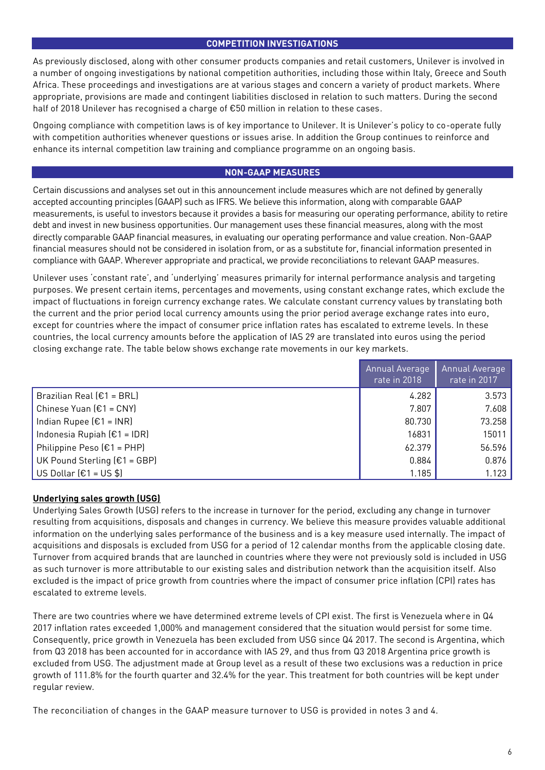# **COMPETITION INVESTIGATIONS**

As previously disclosed, along with other consumer products companies and retail customers, Unilever is involved in a number of ongoing investigations by national competition authorities, including those within Italy, Greece and South Africa. These proceedings and investigations are at various stages and concern a variety of product markets. Where appropriate, provisions are made and contingent liabilities disclosed in relation to such matters. During the second half of 2018 Unilever has recognised a charge of €50 million in relation to these cases.

Ongoing compliance with competition laws is of key importance to Unilever. It is Unilever's policy to co-operate fully with competition authorities whenever questions or issues arise. In addition the Group continues to reinforce and enhance its internal competition law training and compliance programme on an ongoing basis.

# **NON-GAAP MEASURES**

Certain discussions and analyses set out in this announcement include measures which are not defined by generally accepted accounting principles (GAAP) such as IFRS. We believe this information, along with comparable GAAP measurements, is useful to investors because it provides a basis for measuring our operating performance, ability to retire debt and invest in new business opportunities. Our management uses these financial measures, along with the most directly comparable GAAP financial measures, in evaluating our operating performance and value creation. Non-GAAP financial measures should not be considered in isolation from, or as a substitute for, financial information presented in compliance with GAAP. Wherever appropriate and practical, we provide reconciliations to relevant GAAP measures.

Unilever uses 'constant rate', and 'underlying' measures primarily for internal performance analysis and targeting purposes. We present certain items, percentages and movements, using constant exchange rates, which exclude the impact of fluctuations in foreign currency exchange rates. We calculate constant currency values by translating both the current and the prior period local currency amounts using the prior period average exchange rates into euro, except for countries where the impact of consumer price inflation rates has escalated to extreme levels. In these countries, the local currency amounts before the application of IAS 29 are translated into euros using the period closing exchange rate. The table below shows exchange rate movements in our key markets.

|                                | Annual Average<br>rate in 2018 | Annual Average<br>rate in 2017 |
|--------------------------------|--------------------------------|--------------------------------|
| Brazilian Real $E1 = BRL$      | 4.282                          | 3.573                          |
| Chinese Yuan $E1 = CNY$        | 7.807                          | 7.608                          |
| Indian Rupee $[£1 = INR]$      | 80.730                         | 73.258                         |
| Indonesia Rupiah $E1 = IDR$    | 16831                          | 15011                          |
| Philippine Peso $E1 = PHP$     | 62.379                         | 56.596                         |
| UK Pound Sterling $(E1 = GBP)$ | 0.884                          | 0.876                          |
| US Dollar $[€1 = US $]$        | 1.185                          | 1.123                          |

# **Underlying sales growth (USG)**

Underlying Sales Growth (USG) refers to the increase in turnover for the period, excluding any change in turnover resulting from acquisitions, disposals and changes in currency. We believe this measure provides valuable additional information on the underlying sales performance of the business and is a key measure used internally. The impact of acquisitions and disposals is excluded from USG for a period of 12 calendar months from the applicable closing date. Turnover from acquired brands that are launched in countries where they were not previously sold is included in USG as such turnover is more attributable to our existing sales and distribution network than the acquisition itself. Also excluded is the impact of price growth from countries where the impact of consumer price inflation (CPI) rates has escalated to extreme levels.

There are two countries where we have determined extreme levels of CPI exist. The first is Venezuela where in Q4 2017 inflation rates exceeded 1,000% and management considered that the situation would persist for some time. Consequently, price growth in Venezuela has been excluded from USG since Q4 2017. The second is Argentina, which from Q3 2018 has been accounted for in accordance with IAS 29, and thus from Q3 2018 Argentina price growth is excluded from USG. The adjustment made at Group level as a result of these two exclusions was a reduction in price growth of 111.8% for the fourth quarter and 32.4% for the year. This treatment for both countries will be kept under regular review.

The reconciliation of changes in the GAAP measure turnover to USG is provided in notes 3 and 4.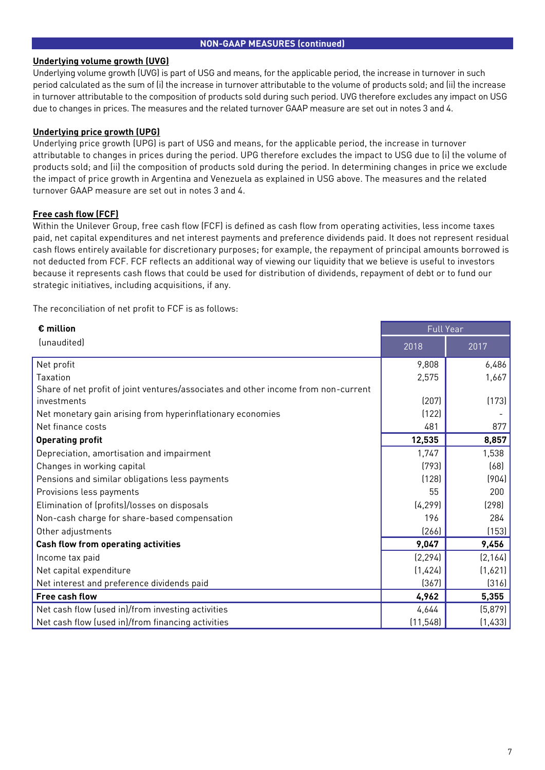### **NON-GAAP MEASURES (continued)**

#### **Underlying volume growth (UVG)**

Underlying volume growth (UVG) is part of USG and means, for the applicable period, the increase in turnover in such period calculated as the sum of (i) the increase in turnover attributable to the volume of products sold; and (ii) the increase in turnover attributable to the composition of products sold during such period. UVG therefore excludes any impact on USG due to changes in prices. The measures and the related turnover GAAP measure are set out in notes 3 and 4.

# **Underlying price growth (UPG)**

Underlying price growth (UPG) is part of USG and means, for the applicable period, the increase in turnover attributable to changes in prices during the period. UPG therefore excludes the impact to USG due to (i) the volume of products sold; and (ii) the composition of products sold during the period. In determining changes in price we exclude the impact of price growth in Argentina and Venezuela as explained in USG above. The measures and the related turnover GAAP measure are set out in notes 3 and 4.

# **Free cash flow (FCF)**

Within the Unilever Group, free cash flow (FCF) is defined as cash flow from operating activities, less income taxes paid, net capital expenditures and net interest payments and preference dividends paid. It does not represent residual cash flows entirely available for discretionary purposes; for example, the repayment of principal amounts borrowed is not deducted from FCF. FCF reflects an additional way of viewing our liquidity that we believe is useful to investors because it represents cash flows that could be used for distribution of dividends, repayment of debt or to fund our strategic initiatives, including acquisitions, if any.

The reconciliation of net profit to FCF is as follows:

| $\epsilon$ million                                                                 | <b>Full Year</b> |          |  |
|------------------------------------------------------------------------------------|------------------|----------|--|
| (unaudited)                                                                        | 2018             | 2017     |  |
| Net profit                                                                         | 9,808            | 6,486    |  |
| Taxation                                                                           | 2,575            | 1,667    |  |
| Share of net profit of joint ventures/associates and other income from non-current |                  |          |  |
| investments                                                                        | (207)            | (173)    |  |
| Net monetary gain arising from hyperinflationary economies                         | (122)            |          |  |
| Net finance costs                                                                  | 481              | 877      |  |
| <b>Operating profit</b>                                                            | 12,535           | 8,857    |  |
| Depreciation, amortisation and impairment                                          | 1,747            | 1,538    |  |
| Changes in working capital                                                         | (793)            | (68)     |  |
| Pensions and similar obligations less payments                                     | (128)            | (904)    |  |
| Provisions less payments                                                           | 55               | 200      |  |
| Elimination of (profits)/losses on disposals                                       | (4, 299)         | (298)    |  |
| Non-cash charge for share-based compensation                                       | 196              | 284      |  |
| Other adjustments                                                                  | (266)            | (153)    |  |
| <b>Cash flow from operating activities</b>                                         | 9,047            | 9,456    |  |
| Income tax paid                                                                    | (2, 294)         | (2, 164) |  |
| Net capital expenditure                                                            | (1,424)          | (1,621)  |  |
| Net interest and preference dividends paid                                         | (367)            | (316)    |  |
| Free cash flow                                                                     | 4,962            | 5,355    |  |
| Net cash flow (used in)/from investing activities                                  | 4,644            | (5, 879) |  |
| Net cash flow (used in)/from financing activities                                  | (11, 548)        | (1,433)  |  |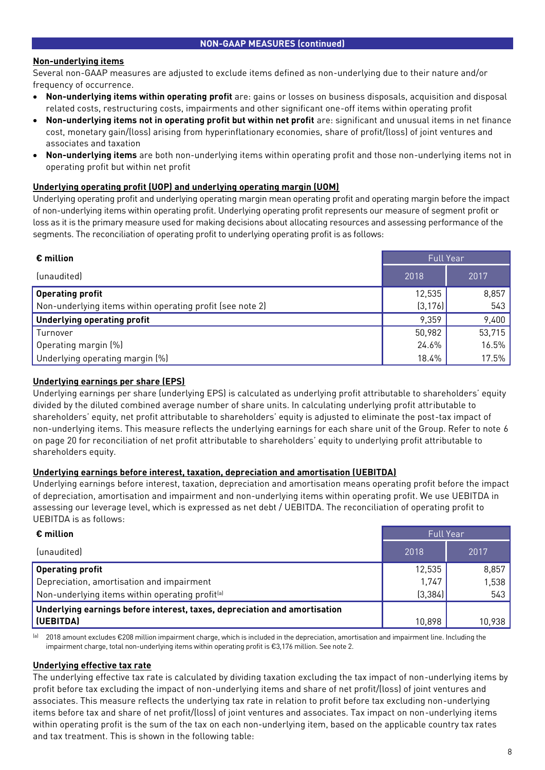# **Non-underlying items**

Several non-GAAP measures are adjusted to exclude items defined as non-underlying due to their nature and/or frequency of occurrence.

- **Non-underlying items within operating profit** are: gains or losses on business disposals, acquisition and disposal related costs, restructuring costs, impairments and other significant one-off items within operating profit
- **Non-underlying items not in operating profit but within net profit** are: significant and unusual items in net finance cost, monetary gain/(loss) arising from hyperinflationary economies, share of profit/(loss) of joint ventures and associates and taxation
- **Non-underlying items** are both non-underlying items within operating profit and those non-underlying items not in operating profit but within net profit

#### **Underlying operating profit (UOP) and underlying operating margin (UOM)**

Underlying operating profit and underlying operating margin mean operating profit and operating margin before the impact of non-underlying items within operating profit. Underlying operating profit represents our measure of segment profit or loss as it is the primary measure used for making decisions about allocating resources and assessing performance of the segments. The reconciliation of operating profit to underlying operating profit is as follows:

| $\epsilon$ million                                        | <b>Full Year</b> |        |  |
|-----------------------------------------------------------|------------------|--------|--|
| (unaudited)                                               | 2018             | 2017   |  |
| Operating profit                                          | 12,535           | 8,857  |  |
| Non-underlying items within operating profit (see note 2) | (3, 176)         | 543    |  |
| Underlying operating profit                               | 9,359            | 9,400  |  |
| Turnover                                                  | 50,982           | 53,715 |  |
| Operating margin (%)                                      | 24.6%            | 16.5%  |  |
| Underlying operating margin (%)                           | 18.4%            | 17.5%  |  |

# **Underlying earnings per share (EPS)**

Underlying earnings per share (underlying EPS) is calculated as underlying profit attributable to shareholders' equity divided by the diluted combined average number of share units. In calculating underlying profit attributable to shareholders' equity, net profit attributable to shareholders' equity is adjusted to eliminate the post-tax impact of non-underlying items. This measure reflects the underlying earnings for each share unit of the Group. Refer to note 6 on page 20 for reconciliation of net profit attributable to shareholders' equity to underlying profit attributable to shareholders equity.

# **Underlying earnings before interest, taxation, depreciation and amortisation (UEBITDA)**

Underlying earnings before interest, taxation, depreciation and amortisation means operating profit before the impact of depreciation, amortisation and impairment and non-underlying items within operating profit. We use UEBITDA in assessing our leverage level, which is expressed as net debt / UEBITDA. The reconciliation of operating profit to UEBITDA is as follows:

| $\epsilon$ million                                                        | <b>Full Year</b> |        |  |
|---------------------------------------------------------------------------|------------------|--------|--|
| (unaudited)                                                               | 2018             | 2017   |  |
| <b>Operating profit</b>                                                   | 12,535           | 8,857  |  |
| Depreciation, amortisation and impairment                                 | 1,747            | 1,538  |  |
| Non-underlying items within operating profit <sup>(a)</sup>               | (3, 384)         | 543    |  |
| Underlying earnings before interest, taxes, depreciation and amortisation |                  |        |  |
| (UEBITDA)                                                                 | 10,898           | 10,938 |  |

(a) 2018 amount excludes €208 million impairment charge, which is included in the depreciation, amortisation and impairment line. Including the impairment charge, total non-underlying items within operating profit is €3,176 million. See note 2.

# **Underlying effective tax rate**

The underlying effective tax rate is calculated by dividing taxation excluding the tax impact of non-underlying items by profit before tax excluding the impact of non-underlying items and share of net profit/(loss) of joint ventures and associates. This measure reflects the underlying tax rate in relation to profit before tax excluding non-underlying items before tax and share of net profit/(loss) of joint ventures and associates. Tax impact on non-underlying items within operating profit is the sum of the tax on each non-underlying item, based on the applicable country tax rates and tax treatment. This is shown in the following table: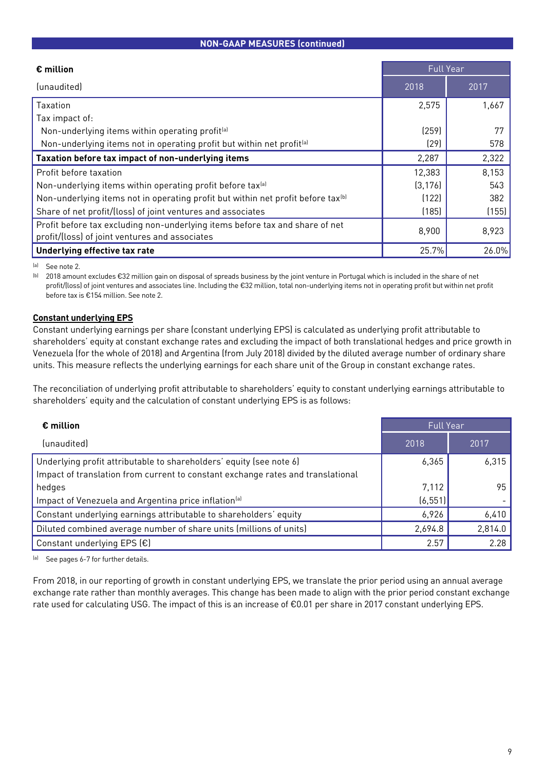# **NON-GAAP MEASURES (continued)**

| $\epsilon$ million                                                                                                             | <b>Full Year</b> |       |  |  |
|--------------------------------------------------------------------------------------------------------------------------------|------------------|-------|--|--|
| (unaudited)                                                                                                                    | 2018             | 2017  |  |  |
| Taxation                                                                                                                       | 2,575            | 1,667 |  |  |
| Tax impact of:                                                                                                                 |                  |       |  |  |
| Non-underlying items within operating profit <sup>[a]</sup>                                                                    | (259)            |       |  |  |
| Non-underlying items not in operating profit but within net profit <sup>[a]</sup>                                              | (29)             | 578   |  |  |
| Taxation before tax impact of non-underlying items                                                                             | 2,287            | 2,322 |  |  |
| Profit before taxation                                                                                                         | 12,383           | 8,153 |  |  |
| Non-underlying items within operating profit before tax <sup>(a)</sup>                                                         | (3, 176)         | 543   |  |  |
| Non-underlying items not in operating profit but within net profit before tax <sup>(b)</sup>                                   | (122)            | 382   |  |  |
| Share of net profit/(loss) of joint ventures and associates                                                                    | (185)            | (155) |  |  |
| Profit before tax excluding non-underlying items before tax and share of net<br>profit/(loss) of joint ventures and associates | 8,900            | 8,923 |  |  |
| Underlying effective tax rate                                                                                                  | 25.7%            | 26.0% |  |  |

(a) See note 2.

(b) 2018 amount excludes €32 million gain on disposal of spreads business by the joint venture in Portugal which is included in the share of net profit/(loss) of joint ventures and associates line. Including the €32 million, total non-underlying items not in operating profit but within net profit before tax is €154 million. See note 2.

# **Constant underlying EPS**

Constant underlying earnings per share (constant underlying EPS) is calculated as underlying profit attributable to shareholders' equity at constant exchange rates and excluding the impact of both translational hedges and price growth in Venezuela (for the whole of 2018) and Argentina (from July 2018) divided by the diluted average number of ordinary share units. This measure reflects the underlying earnings for each share unit of the Group in constant exchange rates.

The reconciliation of underlying profit attributable to shareholders' equity to constant underlying earnings attributable to shareholders' equity and the calculation of constant underlying EPS is as follows:

| $\epsilon$ million                                                              | <b>Full Year</b> |         |
|---------------------------------------------------------------------------------|------------------|---------|
| (unaudited)                                                                     | 2018             | 2017    |
| Underlying profit attributable to shareholders' equity (see note 6)             | 6,365            | 6,315   |
| Impact of translation from current to constant exchange rates and translational |                  |         |
| hedges                                                                          | 7,112            | 95      |
| Impact of Venezuela and Argentina price inflation <sup>[a]</sup>                | (6, 551)         |         |
| Constant underlying earnings attributable to shareholders' equity               | 6,926            | 6,410   |
| Diluted combined average number of share units (millions of units)              | 2,694.8          | 2,814.0 |
| Constant underlying EPS $(E)$                                                   | 2.57             | 2.28    |

(a) See pages 6-7 for further details.

From 2018, in our reporting of growth in constant underlying EPS, we translate the prior period using an annual average exchange rate rather than monthly averages. This change has been made to align with the prior period constant exchange rate used for calculating USG. The impact of this is an increase of €0.01 per share in 2017 constant underlying EPS.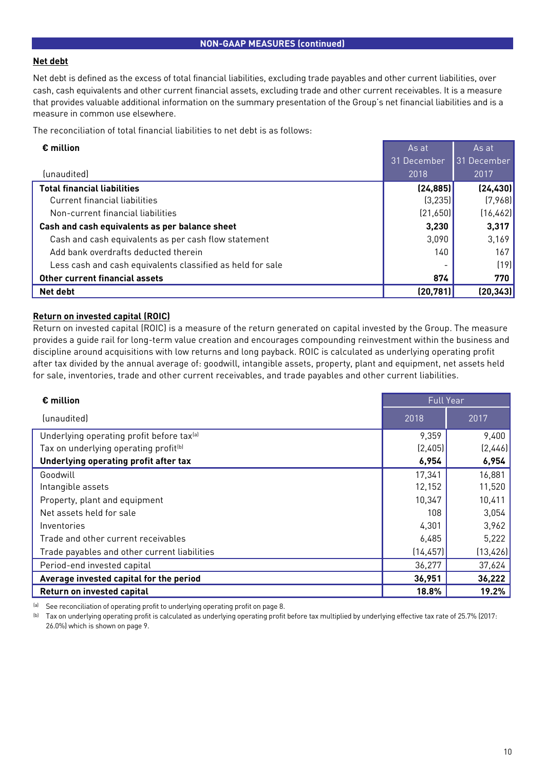#### **Net debt**

Net debt is defined as the excess of total financial liabilities, excluding trade payables and other current liabilities, over cash, cash equivalents and other current financial assets, excluding trade and other current receivables. It is a measure that provides valuable additional information on the summary presentation of the Group's net financial liabilities and is a measure in common use elsewhere.

The reconciliation of total financial liabilities to net debt is as follows:

| $\epsilon$ million                                         | As at       | As at       |
|------------------------------------------------------------|-------------|-------------|
|                                                            | 31 December | 31 December |
| (unaudited)                                                | 2018        | 2017        |
| <b>Total financial liabilities</b>                         | (24, 885)   | (24, 430)   |
| Current financial liabilities                              | (3, 235)    | (7,968)     |
| Non-current financial liabilities                          | (21,650)    | (16, 462)   |
| Cash and cash equivalents as per balance sheet             | 3,230       | 3,317       |
| Cash and cash equivalents as per cash flow statement       | 3,090       | 3,169       |
| Add bank overdrafts deducted therein                       | 140         | 167         |
| Less cash and cash equivalents classified as held for sale |             | (19)        |
| Other current financial assets                             | 874         | 770         |
| Net debt                                                   | (20, 781)   | (20, 343)   |

# **Return on invested capital (ROIC)**

Return on invested capital (ROIC) is a measure of the return generated on capital invested by the Group. The measure provides a guide rail for long-term value creation and encourages compounding reinvestment within the business and discipline around acquisitions with low returns and long payback. ROIC is calculated as underlying operating profit after tax divided by the annual average of: goodwill, intangible assets, property, plant and equipment, net assets held for sale, inventories, trade and other current receivables, and trade payables and other current liabilities.

| $\epsilon$ million                                    | <b>Full Year</b> |           |
|-------------------------------------------------------|------------------|-----------|
| (unaudited)                                           | 2018             | 2017      |
| Underlying operating profit before tax <sup>(a)</sup> | 9,359            | 9,400     |
| Tax on underlying operating profit <sup>(b)</sup>     | (2,405)          | [2,446]   |
| Underlying operating profit after tax                 | 6,954            | 6,954     |
| Goodwill                                              | 17,341           | 16,881    |
| Intangible assets                                     | 12,152           | 11,520    |
| Property, plant and equipment                         | 10,347           | 10,411    |
| Net assets held for sale                              | 108              | 3,054     |
| Inventories                                           | 4,301            | 3,962     |
| Trade and other current receivables                   | 6,485            | 5,222     |
| Trade payables and other current liabilities          | (14, 457)        | (13, 426) |
| Period-end invested capital                           | 36,277           | 37,624    |
| Average invested capital for the period               | 36,951           | 36,222    |
| Return on invested capital                            | 18.8%            | 19.2%     |

(a) See reconciliation of operating profit to underlying operating profit on page 8.

(b) Tax on underlying operating profit is calculated as underlying operating profit before tax multiplied by underlying effective tax rate of 25.7% (2017: 26.0%) which is shown on page 9.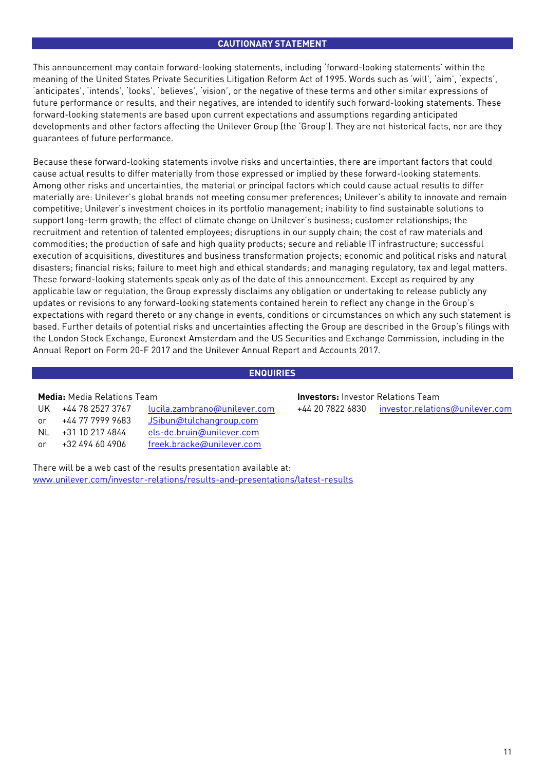# **CAUTIONARY STATEMENT**

This announcement may contain forward-looking statements, including 'forward-looking statements' within the meaning of the United States Private Securities Litigation Reform Act of 1995. Words such as 'will', 'aim', 'expects', 'anticipates', 'intends', 'looks', 'believes', 'vision', or the negative of these terms and other similar expressions of future performance or results, and their negatives, are intended to identify such forward-looking statements. These forward-looking statements are based upon current expectations and assumptions regarding anticipated developments and other factors affecting the Unilever Group (the 'Group'). They are not historical facts, nor are they guarantees of future performance.

Because these forward-looking statements involve risks and uncertainties, there are important factors that could cause actual results to differ materially from those expressed or implied by these forward-looking statements. Among other risks and uncertainties, the material or principal factors which could cause actual results to differ materially are: Unilever's global brands not meeting consumer preferences; Unilever's ability to innovate and remain competitive; Unilever's investment choices in its portfolio management; inability to find sustainable solutions to support long-term growth; the effect of climate change on Unilever's business; customer relationships; the recruitment and retention of talented employees; disruptions in our supply chain; the cost of raw materials and commodities; the production of safe and high quality products; secure and reliable IT infrastructure; successful execution of acquisitions, divestitures and business transformation projects; economic and political risks and natural disasters; financial risks; failure to meet high and ethical standards; and managing regulatory, tax and legal matters. These forward-looking statements speak only as of the date of this announcement. Except as required by any applicable law or regulation, the Group expressly disclaims any obligation or undertaking to release publicly any updates or revisions to any forward-looking statements contained herein to reflect any change in the Group's expectations with regard thereto or any change in events, conditions or circumstances on which any such statement is based. Further details of potential risks and uncertainties affecting the Group are described in the Group's filings with the London Stock Exchange, Euronext Amsterdam and the US Securities and Exchange Commission, including in the Annual Report on Form 20-F 2017 and the Unilever Annual Report and Accounts 2017.

# **ENQUIRIES**

| UK | +44 78 2527 3767 | lucila.zambrano@unilever.com |
|----|------------------|------------------------------|
| or | +44 77 7999 9683 | JSibun@tulchangroup.com      |
| NL | +31 10 217 4844  | els-de.bruin@unilever.com    |
| or | +32 494 60 4906  | freek.bracke@unilever.com    |

There will be a web cast of the results presentation available at: [www.unilever.com/investor-relations/results-and-presentations/latest-results](https://www.unilever.com/investor-relations/results-and-presentations/latest-results/?utm_source=Qresults&utm_medium=Results-PDF)

**Media:** Media Relations Team **Investors:** Investor Relations Team +44 20 7822 6830 [investor.relations@unilever.com](mailto:investor.relations@unilever.com)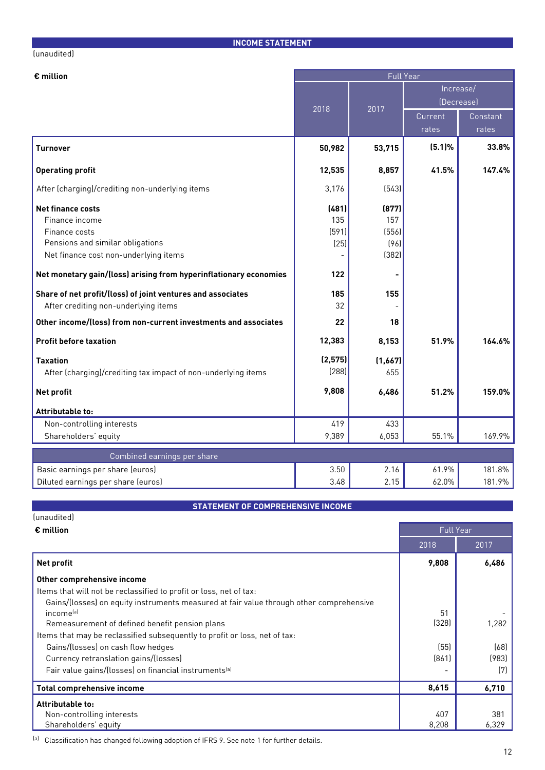#### **INCOME STATEMENT**

#### (unaudited)

| € million                                                         | <b>Full Year</b> |                |            |          |  |
|-------------------------------------------------------------------|------------------|----------------|------------|----------|--|
|                                                                   |                  |                | Increase/  |          |  |
|                                                                   | 2018             | 2017           | (Decrease) |          |  |
|                                                                   |                  |                | Current    | Constant |  |
|                                                                   |                  |                | rates      | rates    |  |
| <b>Turnover</b>                                                   | 50,982           | 53,715         | (5.1)%     | 33.8%    |  |
| <b>Operating profit</b>                                           | 12,535           | 8,857          | 41.5%      | 147.4%   |  |
| After (charging)/crediting non-underlying items                   | 3,176            | (543)          |            |          |  |
| <b>Net finance costs</b>                                          | (481)            | (877)          |            |          |  |
| Finance income                                                    | 135              | 157            |            |          |  |
| Finance costs                                                     | (591)            | (556)          |            |          |  |
| Pensions and similar obligations                                  | (25)             | (96)           |            |          |  |
| Net finance cost non-underlying items                             |                  | (382)          |            |          |  |
| Net monetary gain/(loss) arising from hyperinflationary economies | 122              | $\blacksquare$ |            |          |  |
| Share of net profit/(loss) of joint ventures and associates       | 185              | 155            |            |          |  |
| After crediting non-underlying items                              | 32               |                |            |          |  |
| Other income/(loss) from non-current investments and associates   | 22               | 18             |            |          |  |
| <b>Profit before taxation</b>                                     | 12,383           | 8,153          | 51.9%      | 164.6%   |  |
| <b>Taxation</b>                                                   | (2, 575)         | (1,667)        |            |          |  |
| After (charging)/crediting tax impact of non-underlying items     | (288)            | 655            |            |          |  |
| <b>Net profit</b>                                                 | 9,808            | 6,486          | 51.2%      | 159.0%   |  |
| Attributable to:                                                  |                  |                |            |          |  |
| Non-controlling interests                                         | 419              | 433            |            |          |  |
| Shareholders' equity                                              | 9,389            | 6,053          | 55.1%      | 169.9%   |  |
| Combined earnings per share                                       |                  |                |            |          |  |
| Basic earnings per share (euros)                                  | 3.50             | 2.16           | 61.9%      | 181.8%   |  |
| Diluted earnings per share (euros)                                | 3.48             | 2.15           | 62.0%      | 181.9%   |  |

# **STATEMENT OF COMPREHENSIVE INCOME**

(unaudited)

| $\epsilon$ million                                                                      |       | <b>Full Year</b> |
|-----------------------------------------------------------------------------------------|-------|------------------|
|                                                                                         | 2018  | 2017             |
| Net profit                                                                              | 9,808 | 6,486            |
| Other comprehensive income                                                              |       |                  |
| Items that will not be reclassified to profit or loss, net of tax:                      |       |                  |
| Gains/(losses) on equity instruments measured at fair value through other comprehensive |       |                  |
| income <sup>[a]</sup>                                                                   | 51    |                  |
| Remeasurement of defined benefit pension plans                                          | (328) | 1,282            |
| Items that may be reclassified subsequently to profit or loss, net of tax:              |       |                  |
| Gains/(losses) on cash flow hedges                                                      | (55)  | (68)             |
| Currency retranslation gains/(losses)                                                   | [861] | (983)            |
| Fair value gains/(losses) on financial instruments <sup>(a)</sup>                       |       | (7)              |
| <b>Total comprehensive income</b>                                                       | 8,615 | 6,710            |
| Attributable to:                                                                        |       |                  |
| Non-controlling interests                                                               | 407   | 381              |
| Shareholders' equity                                                                    | 8,208 | 6,329            |

<sup>(a)</sup> Classification has changed following adoption of IFRS 9. See note 1 for further details.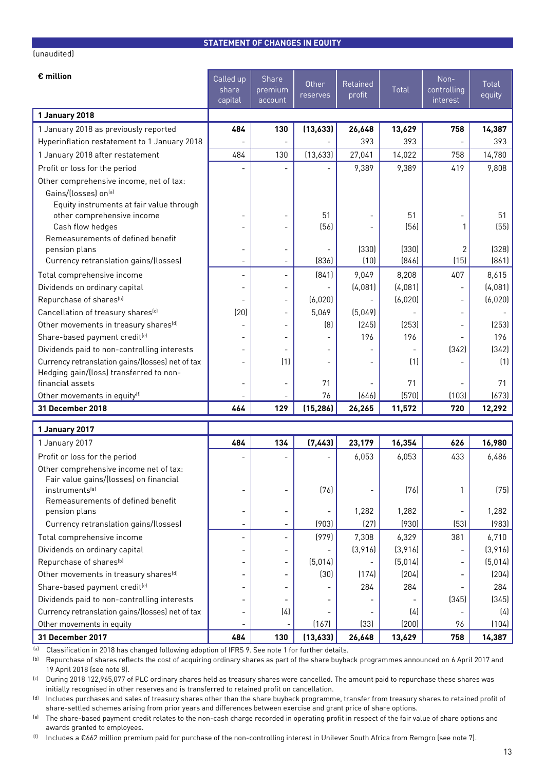#### **STATEMENT OF CHANGES IN EQUITY**

| € million                                                                                   | Called up                | Share                    | Other              | Retained       |            | Non-        | <b>Total</b>    |
|---------------------------------------------------------------------------------------------|--------------------------|--------------------------|--------------------|----------------|------------|-------------|-----------------|
|                                                                                             | share                    | premium                  | reserves           | profit         | Total      | controlling | equity          |
|                                                                                             | capital                  | account                  |                    |                |            | interest    |                 |
| 1 January 2018                                                                              |                          |                          |                    |                |            |             |                 |
| 1 January 2018 as previously reported                                                       | 484                      | 130                      | (13,633)           | 26,648         | 13,629     | 758         | 14,387          |
| Hyperinflation restatement to 1 January 2018                                                |                          |                          |                    | 393            | 393        |             | 393             |
| 1 January 2018 after restatement                                                            | 484                      | 130                      | (13,633)           | 27,041         | 14,022     | 758         | 14,780          |
| Profit or loss for the period                                                               |                          |                          |                    | 9,389          | 9,389      | 419         | 9,808           |
| Other comprehensive income, net of tax:                                                     |                          |                          |                    |                |            |             |                 |
| Gains/(losses) on(a)                                                                        |                          |                          |                    |                |            |             |                 |
| Equity instruments at fair value through                                                    |                          |                          |                    |                |            |             |                 |
| other comprehensive income<br>Cash flow hedges                                              |                          |                          | 51<br>(56)         |                | 51<br>(56) |             | 51<br>(55)      |
| Remeasurements of defined benefit                                                           |                          |                          |                    |                |            |             |                 |
| pension plans                                                                               | $\overline{a}$           | $\overline{a}$           |                    | (330)          | (330)      | 2           | (328)           |
| Currency retranslation gains/(losses)                                                       |                          |                          | [836]              | (10)           | [846]      | (15)        | (861)           |
| Total comprehensive income                                                                  | $\overline{\phantom{a}}$ | $\frac{1}{2}$            | (841)              | 9,049          | 8,208      | 407         | 8,615           |
| Dividends on ordinary capital                                                               | $\overline{\phantom{a}}$ | $\overline{a}$           |                    | (4,081)        | (4,081)    |             | (4,081)         |
| Repurchase of shares <sup>[b]</sup>                                                         |                          | $\qquad \qquad -$        | (6,020)            |                | (6,020)    |             | (6,020)         |
| Cancellation of treasury shares <sup>(c)</sup>                                              | (20)                     |                          | 5,069              | (5,049)        |            |             |                 |
| Other movements in treasury shares <sup>[d]</sup>                                           |                          |                          | (8)                | (245)          | (253)      |             | (253)           |
| Share-based payment credit <sup>(e)</sup>                                                   |                          |                          |                    | 196            | 196        |             | 196             |
| Dividends paid to non-controlling interests                                                 |                          |                          |                    |                |            | (342)       | (342)           |
| Currency retranslation gains/(losses) net of tax<br>Hedging gain/(loss) transferred to non- |                          | (1)                      |                    |                | (1)        |             | (1)             |
| financial assets                                                                            | $\overline{\phantom{a}}$ |                          | 71                 |                | 71         |             | 71              |
| Other movements in equity <sup>(f)</sup>                                                    |                          |                          | 76                 | (646)          | (570)      | (103)       | (673)           |
| 31 December 2018                                                                            | 464                      | 129                      | (15, 286)          | 26,265         | 11,572     | 720         | 12,292          |
| 1 January 2017                                                                              |                          |                          |                    |                |            |             |                 |
| 1 January 2017                                                                              | 484                      | 134                      | (7, 443)           | 23,179         | 16,354     | 626         | 16,980          |
| Profit or loss for the period                                                               |                          |                          |                    | 6,053          | 6,053      | 433         | 6,486           |
| Other comprehensive income net of tax:                                                      |                          |                          |                    |                |            |             |                 |
| Fair value gains/(losses) on financial                                                      |                          |                          |                    |                |            |             |                 |
| instruments <sup>[a]</sup>                                                                  |                          | $\overline{a}$           | (76)               |                | (76)       | 1           | (75)            |
| Remeasurements of defined benefit                                                           |                          |                          |                    |                |            |             |                 |
| pension plans                                                                               | $\overline{\phantom{a}}$ | $\overline{\phantom{a}}$ |                    | 1,282          | 1,282      |             | 1,282           |
| Currency retranslation gains/(losses)                                                       | $\overline{\phantom{0}}$ |                          | (903)              | (27)           | (930)      | (53)        | (983)           |
| Total comprehensive income                                                                  | $\overline{\phantom{a}}$ | $\frac{1}{2}$            | (979)              | 7,308          | 6,329      | 381         | 6,710           |
| Dividends on ordinary capital                                                               | $\overline{\phantom{a}}$ | ÷                        |                    | (3,916)        | (3,916)    |             | (3,916)         |
| Repurchase of shares <sup>(b)</sup>                                                         |                          |                          | (5,014)            |                | (5,014)    |             | (5,014)         |
| Other movements in treasury shares <sup>[d]</sup>                                           |                          |                          | (30)               | (174)          | (204)      |             | (204)           |
| Share-based payment credit <sup>(e)</sup>                                                   | $\overline{\phantom{a}}$ |                          |                    | 284            | 284        |             | 284             |
| Dividends paid to non-controlling interests                                                 | $\overline{\phantom{0}}$ |                          |                    |                |            | (345)       | (345)           |
| Currency retranslation gains/(losses) net of tax                                            | $\overline{\phantom{a}}$ | (4)                      |                    |                | (4)        |             | (4)             |
| Other movements in equity<br>31 December 2017                                               | 484                      | 130                      | (167)<br>(13, 633) | (33)<br>26,648 | (200)      | 96<br>758   | (104)<br>14,387 |
|                                                                                             |                          |                          |                    |                | 13,629     |             |                 |

(a) Classification in 2018 has changed following adoption of IFRS 9. See note 1 for further details.

(b) Repurchase of shares reflects the cost of acquiring ordinary shares as part of the share buyback programmes announced on 6 April 2017 and 19 April 2018 (see note 8).

<sup>(c)</sup> During 2018 122,965,077 of PLC ordinary shares held as treasury shares were cancelled. The amount paid to repurchase these shares was initially recognised in other reserves and is transferred to retained profit on cancellation.

(d) Includes purchases and sales of treasury shares other than the share buyback programme, transfer from treasury shares to retained profit of share-settled schemes arising from prior years and differences between exercise and grant price of share options.

<sup>(e)</sup> The share-based payment credit relates to the non-cash charge recorded in operating profit in respect of the fair value of share options and awards granted to employees.

(f) Includes a €662 million premium paid for purchase of the non-controlling interest in Unilever South Africa from Remgro (see note 7).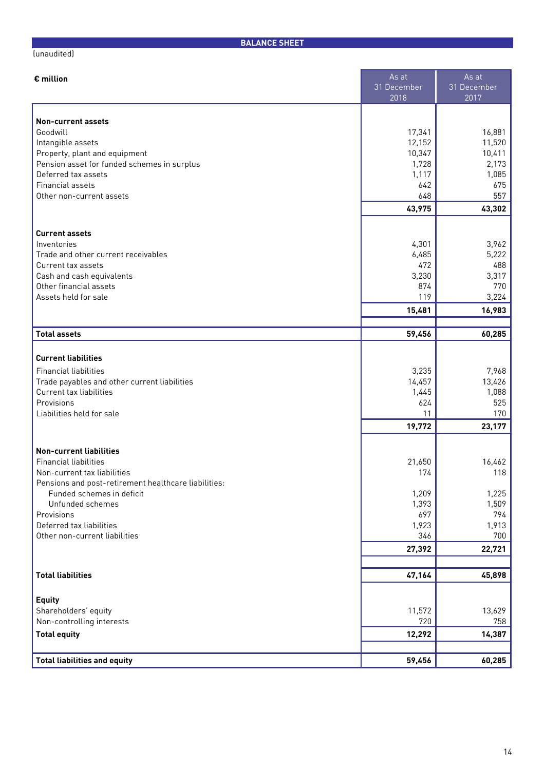| € million                                                                         | As at               | As at               |
|-----------------------------------------------------------------------------------|---------------------|---------------------|
|                                                                                   | 31 December<br>2018 | 31 December<br>2017 |
|                                                                                   |                     |                     |
| <b>Non-current assets</b><br>Goodwill                                             | 17,341              | 16,881              |
| Intangible assets                                                                 | 12,152              | 11,520              |
| Property, plant and equipment                                                     | 10,347              | 10,411              |
| Pension asset for funded schemes in surplus                                       | 1,728               | 2,173               |
| Deferred tax assets                                                               | 1,117               | 1,085               |
| Financial assets                                                                  | 642                 | 675                 |
| Other non-current assets                                                          | 648                 | 557                 |
|                                                                                   | 43,975              | 43,302              |
| <b>Current assets</b>                                                             |                     |                     |
| Inventories                                                                       | 4,301               | 3,962               |
| Trade and other current receivables                                               | 6,485               | 5,222               |
| Current tax assets                                                                | 472                 | 488                 |
| Cash and cash equivalents                                                         | 3,230               | 3,317               |
| Other financial assets<br>Assets held for sale                                    | 874<br>119          | 770<br>3,224        |
|                                                                                   | 15,481              | 16,983              |
|                                                                                   |                     |                     |
| <b>Total assets</b>                                                               | 59,456              | 60,285              |
|                                                                                   |                     |                     |
| <b>Current liabilities</b>                                                        |                     |                     |
| <b>Financial liabilities</b>                                                      | 3,235               | 7,968               |
| Trade payables and other current liabilities                                      | 14,457              | 13,426              |
| Current tax liabilities                                                           | 1,445               | 1,088               |
| Provisions<br>Liabilities held for sale                                           | 624<br>11           | 525<br>170          |
|                                                                                   | 19,772              | 23,177              |
|                                                                                   |                     |                     |
| <b>Non-current liabilities</b>                                                    |                     |                     |
| <b>Financial liabilities</b>                                                      | 21,650              | 16,462              |
| Non-current tax liabilities                                                       | 174                 | 118                 |
| Pensions and post-retirement healthcare liabilities:<br>Funded schemes in deficit | 1,209               | 1,225               |
| Unfunded schemes                                                                  | 1,393               | 1,509               |
| Provisions                                                                        | 697                 | 794                 |
| Deferred tax liabilities                                                          | 1,923               | 1,913               |
| Other non-current liabilities                                                     | 346                 | 700                 |
|                                                                                   | 27,392              | 22,721              |
|                                                                                   |                     |                     |
| <b>Total liabilities</b>                                                          | 47,164              | 45,898              |
| <b>Equity</b>                                                                     |                     |                     |
| Shareholders' equity                                                              | 11,572              | 13,629              |
| Non-controlling interests                                                         | 720                 | 758                 |
| <b>Total equity</b>                                                               | 12,292              | 14,387              |
|                                                                                   |                     |                     |

**BALANCE SHEET**

**Total liabilities and equity 59,456 60,285**

(unaudited)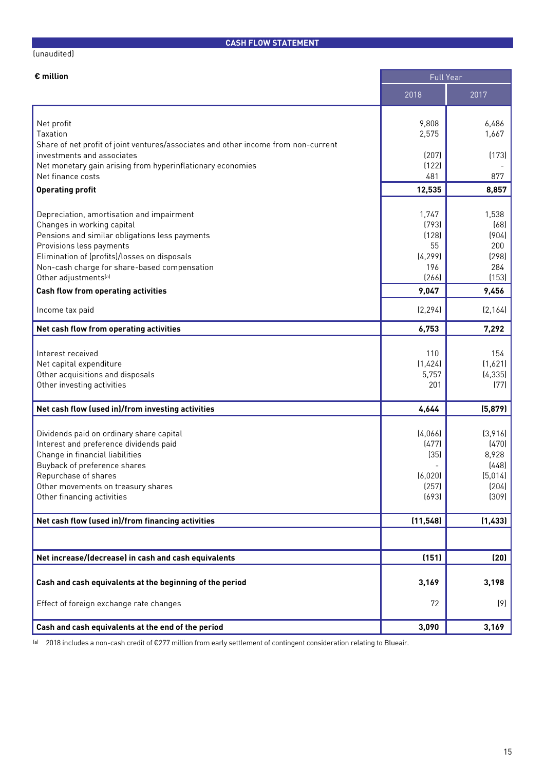# **CASH FLOW STATEMENT**

#### (unaudited)

| € million                                                                          | <b>Full Year</b> |                |
|------------------------------------------------------------------------------------|------------------|----------------|
|                                                                                    | 2018             | 2017           |
|                                                                                    |                  |                |
| Net profit<br>Taxation                                                             | 9,808<br>2,575   | 6,486<br>1,667 |
| Share of net profit of joint ventures/associates and other income from non-current |                  |                |
| investments and associates                                                         | (207)            | (173)          |
| Net monetary gain arising from hyperinflationary economies                         | (122)            |                |
| Net finance costs                                                                  | 481              | 877            |
| <b>Operating profit</b>                                                            | 12,535           | 8,857          |
|                                                                                    |                  |                |
| Depreciation, amortisation and impairment                                          | 1,747            | 1,538          |
| Changes in working capital                                                         | (793)            | (68)           |
| Pensions and similar obligations less payments                                     | (128)            | (904)          |
| Provisions less payments                                                           | 55               | 200            |
| Elimination of (profits)/losses on disposals                                       | [4, 299]         | (298)          |
| Non-cash charge for share-based compensation                                       | 196              | 284            |
| Other adjustments <sup>(a)</sup>                                                   | (266)            | (153)          |
| <b>Cash flow from operating activities</b>                                         | 9,047            | 9,456          |
| Income tax paid                                                                    | (2, 294)         | (2, 164)       |
| Net cash flow from operating activities                                            | 6,753            | 7,292          |
|                                                                                    |                  |                |
| Interest received                                                                  | 110              | 154            |
| Net capital expenditure                                                            | (1,424)          | (1,621)        |
| Other acquisitions and disposals                                                   | 5,757            | (4, 335)       |
| Other investing activities                                                         | 201              | (77)           |
| Net cash flow (used in)/from investing activities                                  | 4,644            | (5,879)        |
|                                                                                    |                  |                |
| Dividends paid on ordinary share capital                                           | (4,066)          | (3,916)        |
| Interest and preference dividends paid                                             | (477)            | (470)          |
| Change in financial liabilities                                                    | (35)             | 8,928          |
| Buyback of preference shares                                                       |                  | (448)          |
| Repurchase of shares                                                               | (6,020)          | (5,014)        |
| Other movements on treasury shares                                                 | (257)            | (204)          |
| Other financing activities                                                         | (693)            | (309)          |
| Net cash flow (used in)/from financing activities                                  | (11, 548)        | (1,433)        |
|                                                                                    |                  |                |
| Net increase/(decrease) in cash and cash equivalents                               | (151)            | (20)           |
|                                                                                    |                  |                |
| Cash and cash equivalents at the beginning of the period                           | 3,169            | 3,198          |
| Effect of foreign exchange rate changes                                            | 72               | (9)            |
| Cash and cash equivalents at the end of the period                                 | 3,090            | 3,169          |

(a) 2018 includes a non-cash credit of €277 million from early settlement of contingent consideration relating to Blueair.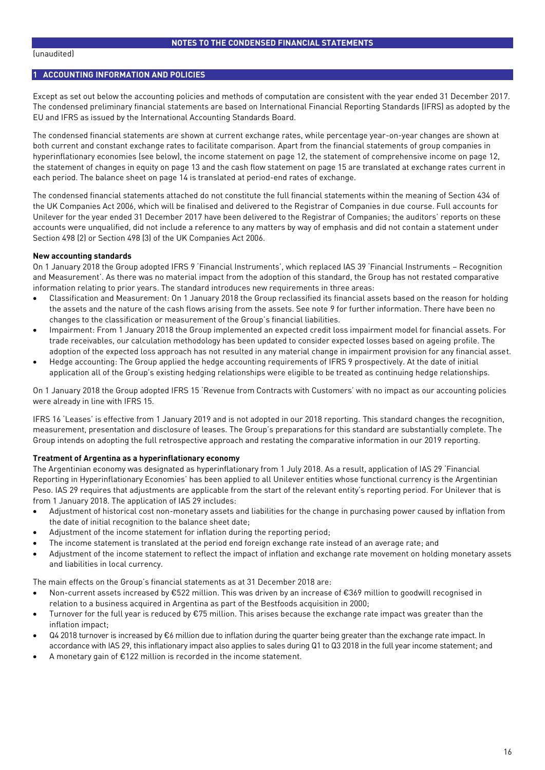#### **1 ACCOUNTING INFORMATION AND POLICIES**

Except as set out below the accounting policies and methods of computation are consistent with the year ended 31 December 2017. The condensed preliminary financial statements are based on International Financial Reporting Standards (IFRS) as adopted by the EU and IFRS as issued by the International Accounting Standards Board.

The condensed financial statements are shown at current exchange rates, while percentage year-on-year changes are shown at both current and constant exchange rates to facilitate comparison. Apart from the financial statements of group companies in hyperinflationary economies (see below), the income statement on page 12, the statement of comprehensive income on page 12, the statement of changes in equity on page 13 and the cash flow statement on page 15 are translated at exchange rates current in each period. The balance sheet on page 14 is translated at period-end rates of exchange.

The condensed financial statements attached do not constitute the full financial statements within the meaning of Section 434 of the UK Companies Act 2006, which will be finalised and delivered to the Registrar of Companies in due course. Full accounts for Unilever for the year ended 31 December 2017 have been delivered to the Registrar of Companies; the auditors' reports on these accounts were unqualified, did not include a reference to any matters by way of emphasis and did not contain a statement under Section 498 (2) or Section 498 (3) of the UK Companies Act 2006.

#### **New accounting standards**

On 1 January 2018 the Group adopted IFRS 9 'Financial Instruments', which replaced IAS 39 'Financial Instruments – Recognition and Measurement'. As there was no material impact from the adoption of this standard, the Group has not restated comparative information relating to prior years. The standard introduces new requirements in three areas:

- Classification and Measurement: On 1 January 2018 the Group reclassified its financial assets based on the reason for holding the assets and the nature of the cash flows arising from the assets. See note 9 for further information. There have been no changes to the classification or measurement of the Group's financial liabilities.
- Impairment: From 1 January 2018 the Group implemented an expected credit loss impairment model for financial assets. For trade receivables, our calculation methodology has been updated to consider expected losses based on ageing profile. The adoption of the expected loss approach has not resulted in any material change in impairment provision for any financial asset.
- Hedge accounting: The Group applied the hedge accounting requirements of IFRS 9 prospectively. At the date of initial application all of the Group's existing hedging relationships were eligible to be treated as continuing hedge relationships.

On 1 January 2018 the Group adopted IFRS 15 'Revenue from Contracts with Customers' with no impact as our accounting policies were already in line with IFRS 15.

IFRS 16 'Leases' is effective from 1 January 2019 and is not adopted in our 2018 reporting. This standard changes the recognition, measurement, presentation and disclosure of leases. The Group's preparations for this standard are substantially complete. The Group intends on adopting the full retrospective approach and restating the comparative information in our 2019 reporting.

#### **Treatment of Argentina as a hyperinflationary economy**

The Argentinian economy was designated as hyperinflationary from 1 July 2018. As a result, application of IAS 29 'Financial Reporting in Hyperinflationary Economies' has been applied to all Unilever entities whose functional currency is the Argentinian Peso. IAS 29 requires that adjustments are applicable from the start of the relevant entity's reporting period. For Unilever that is from 1 January 2018. The application of IAS 29 includes:

- Adjustment of historical cost non-monetary assets and liabilities for the change in purchasing power caused by inflation from the date of initial recognition to the balance sheet date;
- Adjustment of the income statement for inflation during the reporting period;
- The income statement is translated at the period end foreign exchange rate instead of an average rate; and
- Adjustment of the income statement to reflect the impact of inflation and exchange rate movement on holding monetary assets and liabilities in local currency.

The main effects on the Group's financial statements as at 31 December 2018 are:

- Non-current assets increased by €522 million. This was driven by an increase of €369 million to goodwill recognised in relation to a business acquired in Argentina as part of the Bestfoods acquisition in 2000;
- Turnover for the full year is reduced by €75 million. This arises because the exchange rate impact was greater than the inflation impact;
- Q4 2018 turnover is increased by €6 million due to inflation during the quarter being greater than the exchange rate impact. In accordance with IAS 29, this inflationary impact also applies to sales during Q1 to Q3 2018 in the full year income statement; and
- A monetary gain of  $E122$  million is recorded in the income statement.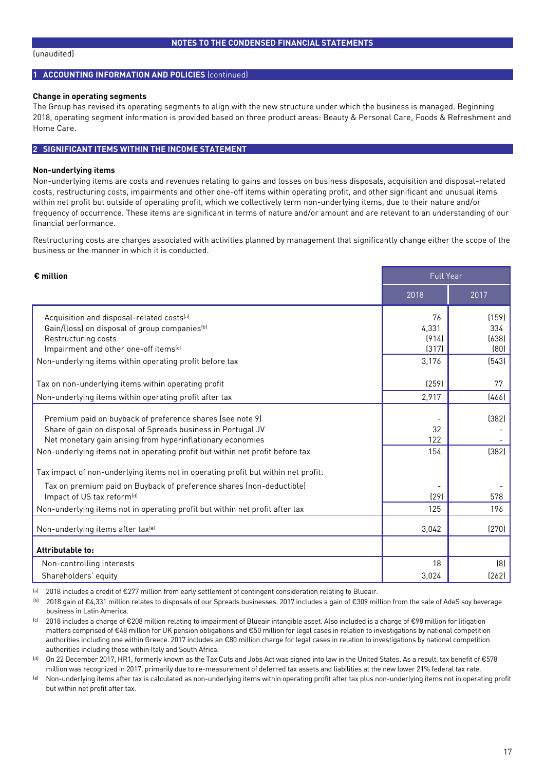#### **NOTES TO THE CONDENSED FINANCIAL STATEMENTS**

#### **1 ACCOUNTING INFORMATION AND POLICIES** (continued)

#### **Change in operating segments**

The Group has revised its operating segments to align with the new structure under which the business is managed. Beginning 2018, operating segment information is provided based on three product areas: Beauty & Personal Care, Foods & Refreshment and Home Care.

#### **2 SIGNIFICANT ITEMS WITHIN THE INCOME STATEMENT**

#### **Non-underlying items**

Non-underlying items are costs and revenues relating to gains and losses on business disposals, acquisition and disposal-related costs, restructuring costs, impairments and other one-off items within operating profit, and other significant and unusual items within net profit but outside of operating profit, which we collectively term non-underlying items, due to their nature and/or frequency of occurrence. These items are significant in terms of nature and/or amount and are relevant to an understanding of our financial performance.

Restructuring costs are charges associated with activities planned by management that significantly change either the scope of the business or the manner in which it is conducted.

| $\epsilon$ million                                                                | <b>Full Year</b> |       |
|-----------------------------------------------------------------------------------|------------------|-------|
|                                                                                   | 2018             | 2017  |
| Acquisition and disposal-related costs <sup>[a]</sup>                             | 76               | (159) |
| Gain/(loss) on disposal of group companies <sup>(b)</sup>                         | 4,331            | 334   |
| Restructuring costs                                                               | (914)            | (638) |
| Impairment and other one-off items <sup>(c)</sup>                                 | (317)            | [80]  |
| Non-underlying items within operating profit before tax                           | 3,176            | [543] |
| Tax on non-underlying items within operating profit                               | (259)            | 77    |
| Non-underlying items within operating profit after tax                            | 2,917            | [466] |
| Premium paid on buyback of preference shares (see note 9)                         |                  | (382) |
| Share of gain on disposal of Spreads business in Portugal JV                      | 32               |       |
| Net monetary gain arising from hyperinflationary economies                        | 122              |       |
| Non-underlying items not in operating profit but within net profit before tax     | 154              | (382) |
|                                                                                   |                  |       |
| Tax impact of non-underlying items not in operating profit but within net profit: |                  |       |
| Tax on premium paid on Buyback of preference shares (non-deductible)              |                  |       |
| Impact of US tax reform <sup>[d]</sup>                                            | [29]             | 578   |
| Non-underlying items not in operating profit but within net profit after tax      | 125              | 196   |
| Non-underlying items after tax <sup>(e)</sup>                                     | 3,042            | (270) |
| Attributable to:                                                                  |                  |       |
| Non-controlling interests                                                         | 18               | (8)   |
| Shareholders' equity                                                              | 3,024            | [262] |

(a) 2018 includes a credit of €277 million from early settlement of contingent consideration relating to Blueair.

(b) 2018 gain of €4,331 million relates to disposals of our Spreads businesses. 2017 includes a gain of €309 million from the sale of AdeS soy beverage business in Latin America.

(c) 2018 includes a charge of €208 million relating to impairment of Blueair intangible asset. Also included is a charge of €98 million for litigation matters comprised of €48 million for UK pension obligations and €50 million for legal cases in relation to investigations by national competition authorities including one within Greece. 2017 includes an €80 million charge for legal cases in relation to investigations by national competition authorities including those within Italy and South Africa.

(d) On 22 December 2017, HR1, formerly known as the Tax Cuts and Jobs Act was signed into law in the United States. As a result, tax benefit of €578 million was recognized in 2017, primarily due to re-measurement of deferred tax assets and liabilities at the new lower 21% federal tax rate.

<sup>(e)</sup> Non-underlying items after tax is calculated as non-underlying items within operating profit after tax plus non-underlying items not in operating profit but within net profit after tax.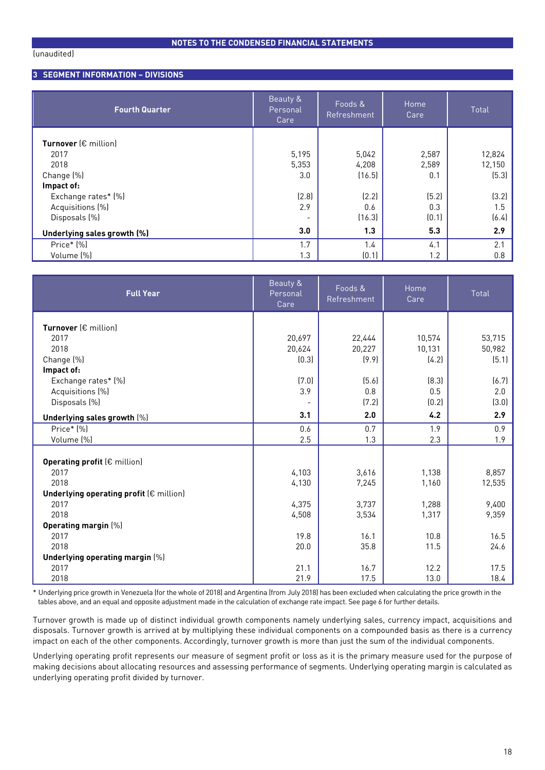#### **NOTES TO THE CONDENSED FINANCIAL STATEMENTS**

#### **3 SEGMENT INFORMATION – DIVISIONS**

| <b>Fourth Quarter</b>                 | Beauty &<br>Personal<br>Care | Foods &<br>Refreshment | Home<br>Care, | Total  |
|---------------------------------------|------------------------------|------------------------|---------------|--------|
| <b>Turnover</b> ( $\epsilon$ million) |                              |                        |               |        |
| 2017                                  | 5,195                        | 5,042                  | 2,587         | 12,824 |
| 2018                                  | 5,353                        | 4,208                  | 2,589         | 12,150 |
| Change (%)                            | 3.0                          | (16.5)                 | 0.1           | (5.3)  |
| Impact of:                            |                              |                        |               |        |
| Exchange rates* (%)                   | (2.8)                        | (2.2)                  | (5.2)         | (3.2)  |
| Acquisitions (%)                      | 2.9                          | 0.6                    | 0.3           | 1.5    |
| Disposals (%)                         | -                            | (16.3)                 | (0.1)         | (6.4)  |
| Underlying sales growth (%)           | 3.0                          | 1.3                    | 5.3           | 2.9    |
| Price* [%]                            | 1.7                          | 1.4                    | 4.1           | 2.1    |
| Volume (%)                            | 1.3                          | (0.1)                  | 1.2           | 0.8    |

| <b>Full Year</b>                                 | Beauty &<br>Personal<br>Care | Foods &<br>Home<br>Refreshment<br>Care |        | Total  |
|--------------------------------------------------|------------------------------|----------------------------------------|--------|--------|
| Turnover $(\epsilon$ million)                    |                              |                                        |        |        |
| 2017                                             | 20,697                       | 22,444                                 | 10,574 | 53,715 |
| 2018                                             | 20,624                       | 20,227                                 | 10,131 | 50,982 |
| Change (%)                                       | [0.3]                        | (9.9)                                  | (4.2)  | (5.1)  |
| Impact of:                                       |                              |                                        |        |        |
| Exchange rates* [%]                              | (7.0)                        | (5.6)                                  | (8.3)  | (6.7)  |
| Acquisitions (%)                                 | 3.9                          | 0.8                                    | 0.5    | 2.0    |
| Disposals (%)                                    |                              | (7.2)                                  | (0.2)  | (3.0)  |
| Underlying sales growth [%]                      | 3.1                          | 2.0                                    | 4.2    | 2.9    |
| Price* (%)                                       | 0.6                          | 0.7                                    | 1.9    | 0.9    |
| Volume [%]                                       | 2.5                          | 1.3                                    | 2.3    | 1.9    |
|                                                  |                              |                                        |        |        |
| <b>Operating profit (€ million)</b>              |                              |                                        |        |        |
| 2017                                             | 4,103                        | 3,616                                  | 1,138  | 8,857  |
| 2018                                             | 4,130                        | 7,245                                  | 1,160  | 12,535 |
| Underlying operating profit $(\epsilon$ million) |                              |                                        |        |        |
| 2017                                             | 4,375                        | 3,737                                  | 1,288  | 9,400  |
| 2018                                             | 4,508                        | 3,534                                  | 1,317  | 9,359  |
| Operating margin [%]                             |                              |                                        |        |        |
| 2017                                             | 19.8                         | 16.1                                   | 10.8   | 16.5   |
| 2018                                             | 20.0                         | 35.8                                   | 11.5   | 24.6   |
| Underlying operating margin [%]                  |                              |                                        |        |        |
| 2017                                             | 21.1                         | 16.7                                   | 12.2   | 17.5   |
| 2018                                             | 21.9                         | 17.5                                   | 13.0   | 18.4   |

\* Underlying price growth in Venezuela (for the whole of 2018) and Argentina (from July 2018) has been excluded when calculating the price growth in the tables above, and an equal and opposite adjustment made in the calculation of exchange rate impact. See page 6 for further details.

Turnover growth is made up of distinct individual growth components namely underlying sales, currency impact, acquisitions and disposals. Turnover growth is arrived at by multiplying these individual components on a compounded basis as there is a currency impact on each of the other components. Accordingly, turnover growth is more than just the sum of the individual components.

Underlying operating profit represents our measure of segment profit or loss as it is the primary measure used for the purpose of making decisions about allocating resources and assessing performance of segments. Underlying operating margin is calculated as underlying operating profit divided by turnover.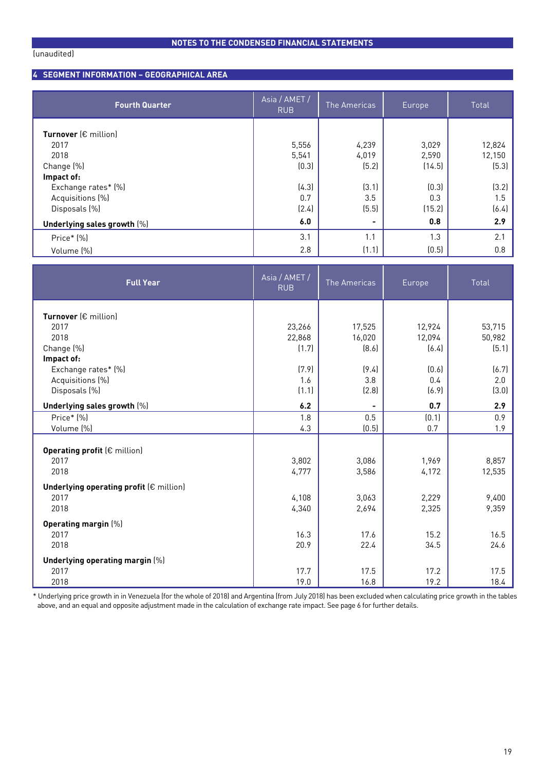# **NOTES TO THE CONDENSED FINANCIAL STATEMENTS**

#### **4 SEGMENT INFORMATION – GEOGRAPHICAL AREA**

| <b>Fourth Quarter</b>                                                                                       | $\overline{\overline{\mathsf{Asia}/\mathsf{AMET}/\mathsf{B}}}$<br><b>RUB</b> | The Americas<br>Europe                  |                                          | Total                                     |
|-------------------------------------------------------------------------------------------------------------|------------------------------------------------------------------------------|-----------------------------------------|------------------------------------------|-------------------------------------------|
| Turnover (€ million)<br>2017<br>2018<br>Change (%)<br>Impact of:<br>Exchange rates* [%]<br>Acquisitions (%) | 5,556<br>5,541<br>(0.3)<br>(4.3)<br>0.7                                      | 4,239<br>4,019<br>(5.2)<br>(3.1)<br>3.5 | 3,029<br>2,590<br>(14.5)<br>(0.3)<br>0.3 | 12,824<br>12,150<br>(5.3)<br>(3.2)<br>1.5 |
| Disposals (%)<br>Underlying sales growth [%]                                                                | (2.4)<br>6.0                                                                 | (5.5)                                   | (15.2)<br>0.8                            | (6.4)<br>2.9                              |
| Price* (%)                                                                                                  | 3.1                                                                          | 1.1                                     | 1.3                                      | 2.1                                       |
| Volume (%)                                                                                                  | 2.8                                                                          | (1.1)                                   | (0.5)                                    | 0.8                                       |

| <b>Full Year</b>                        | Asia / AMET /<br><b>RUB</b> | The Americas     | Europe           | Total            |
|-----------------------------------------|-----------------------------|------------------|------------------|------------------|
| Turnover $(\epsilon$ million)           |                             |                  |                  |                  |
| 2017<br>2018                            | 23,266<br>22,868            | 17,525<br>16,020 | 12,924<br>12,094 | 53,715<br>50,982 |
| Change (%)                              | (1.7)                       | [8.6]            | (6.4)            | (5.1)            |
| Impact of:                              |                             |                  |                  |                  |
| Exchange rates* [%]                     | (7.9)                       | (9.4)            | (0.6)            | (6.7)            |
| Acquisitions (%)                        | 1.6                         | 3.8              | 0.4              | 2.0              |
| Disposals (%)                           | (1.1)                       | (2.8)            | (6.9)            | (3.0)            |
| Underlying sales growth [%]             | 6.2                         |                  | 0.7              | 2.9              |
| Price* [%]                              | 1.8                         | 0.5              | (0.1)            | 0.9              |
| Volume (%)                              | 4.3                         | (0.5)            | 0.7              | 1.9              |
| Operating profit (€ million)            |                             |                  |                  |                  |
| 2017                                    | 3,802                       | 3,086            | 1,969            | 8,857            |
| 2018                                    | 4,777                       | 3,586            | 4,172            | 12,535           |
| Underlying operating profit (€ million) |                             |                  |                  |                  |
| 2017                                    | 4,108                       | 3,063            | 2,229            | 9,400            |
| 2018                                    | 4,340                       | 2,694            | 2,325            | 9,359            |
| Operating margin [%]                    |                             |                  |                  |                  |
| 2017                                    | 16.3                        | 17.6             | 15.2             | 16.5             |
| 2018                                    | 20.9                        | 22.4             | 34.5             | 24.6             |
| Underlying operating margin [%]         |                             |                  |                  |                  |
| 2017                                    | 17.7                        | 17.5             | 17.2             | 17.5             |
| 2018                                    | 19.0                        | 16.8             | 19.2             | 18.4             |

\* Underlying price growth in in Venezuela (for the whole of 2018) and Argentina (from July 2018) has been excluded when calculating price growth in the tables above, and an equal and opposite adjustment made in the calculation of exchange rate impact. See page 6 for further details.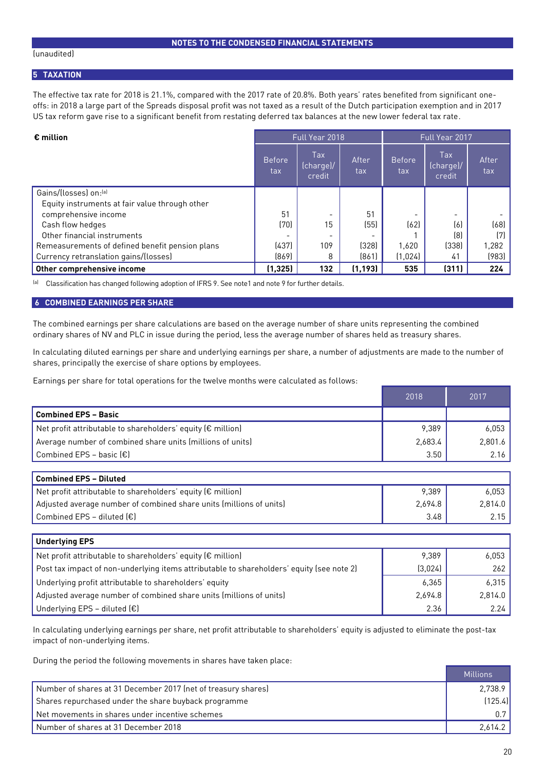#### **5 TAXATION**

The effective tax rate for 2018 is 21.1%, compared with the 2017 rate of 20.8%. Both years' rates benefited from significant oneoffs: in 2018 a large part of the Spreads disposal profit was not taxed as a result of the Dutch participation exemption and in 2017 US tax reform gave rise to a significant benefit from restating deferred tax balances at the new lower federal tax rate.

| $\epsilon$ million                              | Full Year 2018       |                            |              | Full Year 2017       |                            |              |
|-------------------------------------------------|----------------------|----------------------------|--------------|----------------------|----------------------------|--------------|
|                                                 | <b>Before</b><br>tax | Tax<br>(charge)/<br>credit | After<br>tax | <b>Before</b><br>tax | Tax<br>(charge)/<br>credit | After<br>tax |
| Gains/(losses) on:[a]                           |                      |                            |              |                      |                            |              |
| Equity instruments at fair value through other  |                      |                            |              |                      |                            |              |
| comprehensive income                            | 51                   |                            | 51           |                      | $\overline{\phantom{a}}$   |              |
| Cash flow hedges                                | (70)                 | 15                         | (55)         | (62)                 | (6)                        | (68)         |
| Other financial instruments                     |                      |                            |              |                      | (8)                        | (7)          |
| Remeasurements of defined benefit pension plans | (437)                | 109                        | (328)        | 1,620                | [338]                      | 1,282        |
| Currency retranslation gains/(losses)           | [869]                | 8                          | [861]        | (1,024)              | 41                         | (983)        |
| Other comprehensive income                      | (1, 325)             | 132                        | (1, 193)     | 535                  | (311)                      | 224          |

(a) Classification has changed following adoption of IFRS 9. See note1 and note 9 for further details.

#### **6 COMBINED EARNINGS PER SHARE**

The combined earnings per share calculations are based on the average number of share units representing the combined ordinary shares of NV and PLC in issue during the period, less the average number of shares held as treasury shares.

In calculating diluted earnings per share and underlying earnings per share, a number of adjustments are made to the number of shares, principally the exercise of share options by employees.

Earnings per share for total operations for the twelve months were calculated as follows:

|                                                                       | 2018    | 2017    |
|-----------------------------------------------------------------------|---------|---------|
| <b>Combined EPS - Basic</b>                                           |         |         |
| Net profit attributable to shareholders' equity ( $\epsilon$ million) | 9.389   | 6.053   |
| Average number of combined share units (millions of units)            | 2,683.4 | 2.801.6 |
| Combined EPS - basic $(\epsilon)$                                     | 3.50    | 2.16    |

| <b>Combined EPS - Diluted</b>                                         |         |         |
|-----------------------------------------------------------------------|---------|---------|
| Net profit attributable to shareholders' equity ( $\epsilon$ million) | 9.389   | 6.053   |
| Adjusted average number of combined share units (millions of units)   | 2.694.8 | 2.814.0 |
| $\mathsf I$ Combined EPS – diluted (€)                                | 3.48    | 2.15    |

| <b>Underlying EPS</b>                                                                     |         |         |
|-------------------------------------------------------------------------------------------|---------|---------|
| Net profit attributable to shareholders' equity ( $\epsilon$ million)                     | 9,389   | 6.053   |
| Post tax impact of non-underlying items attributable to shareholders' equity (see note 2) | (3,024) | 262     |
| Underlying profit attributable to shareholders' equity                                    | 6,365   | 6.315   |
| Adjusted average number of combined share units (millions of units)                       | 2,694.8 | 2.814.0 |
| Underlying EPS - diluted $(\epsilon)$                                                     | 2.36    | 2.24    |

In calculating underlying earnings per share, net profit attributable to shareholders' equity is adjusted to eliminate the post-tax impact of non-underlying items.

During the period the following movements in shares have taken place:

|                                                               | Millions |
|---------------------------------------------------------------|----------|
| Number of shares at 31 December 2017 (net of treasury shares) | 2.738.9  |
| Shares repurchased under the share buyback programme          | [125.4]  |
| Net movements in shares under incentive schemes               | 0.71     |
| Number of shares at 31 December 2018                          | 2,614.2  |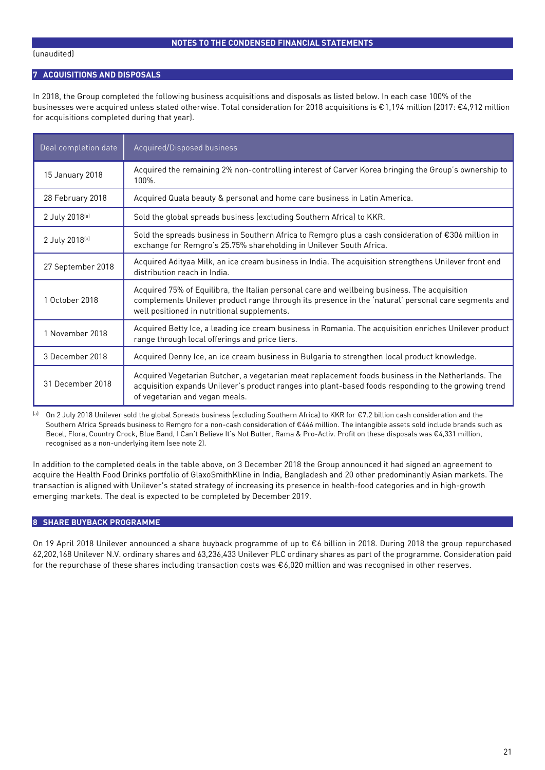#### **7 ACQUISITIONS AND DISPOSALS**

In 2018, the Group completed the following business acquisitions and disposals as listed below. In each case 100% of the businesses were acquired unless stated otherwise. Total consideration for 2018 acquisitions is €1,194 million (2017: €4,912 million for acquisitions completed during that year).

| Deal completion date | Acquired/Disposed business                                                                                                                                                                                                                         |
|----------------------|----------------------------------------------------------------------------------------------------------------------------------------------------------------------------------------------------------------------------------------------------|
| 15 January 2018      | Acquired the remaining 2% non-controlling interest of Carver Korea bringing the Group's ownership to<br>100%.                                                                                                                                      |
| 28 February 2018     | Acquired Quala beauty & personal and home care business in Latin America.                                                                                                                                                                          |
| 2 July 2018(a)       | Sold the global spreads business (excluding Southern Africa) to KKR.                                                                                                                                                                               |
| 2 July 2018(a)       | Sold the spreads business in Southern Africa to Remgro plus a cash consideration of €306 million in<br>exchange for Remgro's 25.75% shareholding in Unilever South Africa.                                                                         |
| 27 September 2018    | Acquired Adityaa Milk, an ice cream business in India. The acquisition strengthens Unilever front end<br>distribution reach in India.                                                                                                              |
| 1 October 2018       | Acquired 75% of Equilibra, the Italian personal care and wellbeing business. The acquisition<br>complements Unilever product range through its presence in the 'natural' personal care segments and<br>well positioned in nutritional supplements. |
| 1 November 2018      | Acquired Betty Ice, a leading ice cream business in Romania. The acquisition enriches Unilever product<br>range through local offerings and price tiers.                                                                                           |
| 3 December 2018      | Acquired Denny Ice, an ice cream business in Bulgaria to strengthen local product knowledge.                                                                                                                                                       |
| 31 December 2018     | Acquired Vegetarian Butcher, a vegetarian meat replacement foods business in the Netherlands. The<br>acquisition expands Unilever's product ranges into plant-based foods responding to the growing trend<br>of vegetarian and vegan meals.        |

(a) On 2 July 2018 Unilever sold the global Spreads business (excluding Southern Africa) to KKR for €7.2 billion cash consideration and the Southern Africa Spreads business to Remgro for a non-cash consideration of €446 million. The intangible assets sold include brands such as Becel, Flora, Country Crock, Blue Band, I Can't Believe It's Not Butter, Rama & Pro-Activ. Profit on these disposals was €4,331 million, recognised as a non-underlying item (see note 2).

In addition to the completed deals in the table above, on 3 December 2018 the Group announced it had signed an agreement to acquire the Health Food Drinks portfolio of GlaxoSmithKline in India, Bangladesh and 20 other predominantly Asian markets. The transaction is aligned with Unilever's stated strategy of increasing its presence in health-food categories and in high-growth emerging markets. The deal is expected to be completed by December 2019.

#### **8 SHARE BUYBACK PROGRAMME**

On 19 April 2018 Unilever announced a share buyback programme of up to €6 billion in 2018. During 2018 the group repurchased 62,202,168 Unilever N.V. ordinary shares and 63,236,433 Unilever PLC ordinary shares as part of the programme. Consideration paid for the repurchase of these shares including transaction costs was €6,020 million and was recognised in other reserves.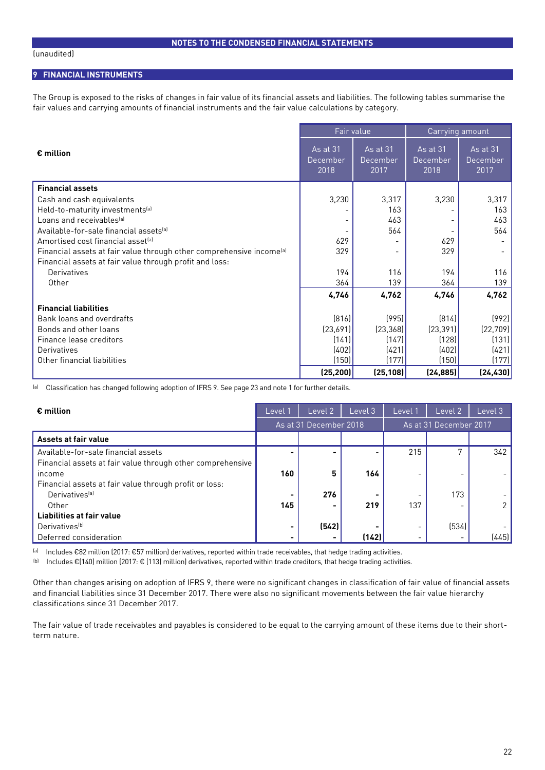#### **9 FINANCIAL INSTRUMENTS**

The Group is exposed to the risks of changes in fair value of its financial assets and liabilities. The following tables summarise the fair values and carrying amounts of financial instruments and the fair value calculations by category.

|                                                                                  | Fair value                   |                              | Carrying amount                     |                              |  |
|----------------------------------------------------------------------------------|------------------------------|------------------------------|-------------------------------------|------------------------------|--|
| $\epsilon$ million                                                               | As at 31<br>December<br>2018 | As at 31<br>December<br>2017 | <b>As at 31</b><br>December<br>2018 | As at 31<br>December<br>2017 |  |
| <b>Financial assets</b>                                                          |                              |                              |                                     |                              |  |
| Cash and cash equivalents                                                        | 3,230                        | 3,317                        | 3,230                               | 3,317                        |  |
| Held-to-maturity investments <sup>[a]</sup>                                      |                              | 163                          |                                     | 163                          |  |
| Loans and receivables <sup>[a]</sup>                                             |                              | 463                          |                                     | 463                          |  |
| Available-for-sale financial assets <sup>[a]</sup>                               |                              | 564                          |                                     | 564                          |  |
| Amortised cost financial asset <sup>[a]</sup>                                    | 629                          |                              | 629                                 |                              |  |
| Financial assets at fair value through other comprehensive income <sup>(a)</sup> | 329                          |                              | 329                                 |                              |  |
| Financial assets at fair value through profit and loss:                          |                              |                              |                                     |                              |  |
| Derivatives                                                                      | 194                          | 116                          | 194                                 | 116                          |  |
| Other                                                                            | 364                          | 139                          | 364                                 | 139                          |  |
|                                                                                  | 4,746                        | 4,762                        | 4,746                               | 4,762                        |  |
| <b>Financial liabilities</b>                                                     |                              |                              |                                     |                              |  |
| Bank loans and overdrafts                                                        | [816]                        | (995)                        | [814]                               | (992)                        |  |
| Bonds and other loans                                                            | (23,691)                     | (23, 368)                    | [23, 391]                           | [22, 709]                    |  |
| Finance lease creditors                                                          | (141)                        | (147)                        | (128)                               | (131)                        |  |
| Derivatives                                                                      | (402)                        | (421)                        | (402)                               | (421)                        |  |
| Other financial liabilities                                                      | (150)                        | (177)                        | (150)                               | (177)                        |  |
|                                                                                  | (25, 200)                    | (25, 108)                    | (24, 885)                           | (24, 430)                    |  |

(a) Classification has changed following adoption of IFRS 9. See page 23 and note 1 for further details.

| $\epsilon$ million                                         | Level                    | Level 2                | Level 3 | Level                    | Level 2                | Level 3 |
|------------------------------------------------------------|--------------------------|------------------------|---------|--------------------------|------------------------|---------|
|                                                            |                          | As at 31 December 2018 |         |                          | As at 31 December 2017 |         |
| Assets at fair value                                       |                          |                        |         |                          |                        |         |
| Available-for-sale financial assets                        | $\overline{\phantom{0}}$ |                        |         | 215                      |                        | 342     |
| Financial assets at fair value through other comprehensive |                          |                        |         |                          |                        |         |
| income                                                     | 160                      | 5                      | 164     | $\overline{\phantom{a}}$ |                        |         |
| Financial assets at fair value through profit or loss:     |                          |                        |         |                          |                        |         |
| Derivatives <sup>[a]</sup>                                 | $\blacksquare$           | 276                    |         |                          | 173                    |         |
| Other                                                      | 145                      |                        | 219     | 137                      |                        |         |
| Liabilities at fair value                                  |                          |                        |         |                          |                        |         |
| Derivatives <sup>(b)</sup>                                 | $\blacksquare$           | (542)                  |         | $\overline{\phantom{a}}$ | (534)                  |         |
| Deferred consideration                                     | $\overline{\phantom{0}}$ |                        | (142)   | $\overline{\phantom{0}}$ |                        | (445)   |

(a) Includes €82 million (2017: €57 million) derivatives, reported within trade receivables, that hedge trading activities.

(b) Includes €(140) million (2017: € (113) million) derivatives, reported within trade creditors, that hedge trading activities.

Other than changes arising on adoption of IFRS 9, there were no significant changes in classification of fair value of financial assets and financial liabilities since 31 December 2017. There were also no significant movements between the fair value hierarchy classifications since 31 December 2017.

The fair value of trade receivables and payables is considered to be equal to the carrying amount of these items due to their shortterm nature.